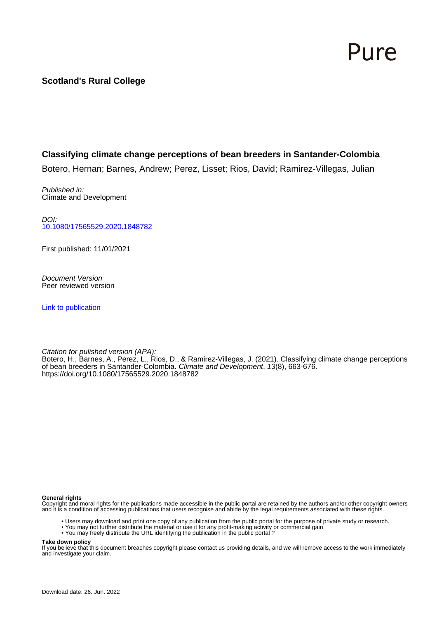# Pure

# **Scotland's Rural College**

## **Classifying climate change perceptions of bean breeders in Santander-Colombia**

Botero, Hernan; Barnes, Andrew; Perez, Lisset; Rios, David; Ramirez-Villegas, Julian

Published in: Climate and Development

DOI: [10.1080/17565529.2020.1848782](https://doi.org/10.1080/17565529.2020.1848782)

First published: 11/01/2021

Document Version Peer reviewed version

[Link to publication](https://pure.sruc.ac.uk/en/publications/d1af3b62-b253-4634-8475-7ea11a54d1ef)

Citation for pulished version (APA): Botero, H., Barnes, A., Perez, L., Rios, D., & Ramirez-Villegas, J. (2021). Classifying climate change perceptions of bean breeders in Santander-Colombia. Climate and Development, 13(8), 663-676. <https://doi.org/10.1080/17565529.2020.1848782>

#### **General rights**

Copyright and moral rights for the publications made accessible in the public portal are retained by the authors and/or other copyright owners and it is a condition of accessing publications that users recognise and abide by the legal requirements associated with these rights.

- Users may download and print one copy of any publication from the public portal for the purpose of private study or research.
- You may not further distribute the material or use it for any profit-making activity or commercial gain
- You may freely distribute the URL identifying the publication in the public portal ?

#### **Take down policy**

If you believe that this document breaches copyright please contact us providing details, and we will remove access to the work immediately and investigate your claim.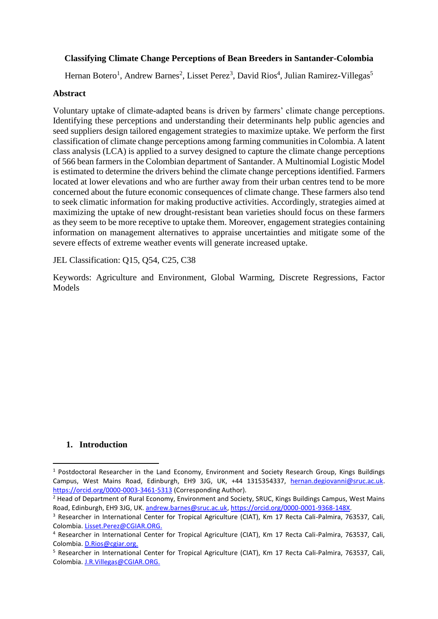# **Classifying Climate Change Perceptions of Bean Breeders in Santander-Colombia**

Hernan Botero<sup>1</sup>, Andrew Barnes<sup>2</sup>, Lisset Perez<sup>3</sup>, David Rios<sup>4</sup>, Julian Ramirez-Villegas<sup>5</sup>

## **Abstract**

Voluntary uptake of climate-adapted beans is driven by farmers' climate change perceptions. Identifying these perceptions and understanding their determinants help public agencies and seed suppliers design tailored engagement strategies to maximize uptake. We perform the first classification of climate change perceptions among farming communities in Colombia. A latent class analysis (LCA) is applied to a survey designed to capture the climate change perceptions of 566 bean farmers in the Colombian department of Santander. A Multinomial Logistic Model is estimated to determine the drivers behind the climate change perceptions identified. Farmers located at lower elevations and who are further away from their urban centres tend to be more concerned about the future economic consequences of climate change. These farmers also tend to seek climatic information for making productive activities. Accordingly, strategies aimed at maximizing the uptake of new drought-resistant bean varieties should focus on these farmers as they seem to be more receptive to uptake them. Moreover, engagement strategies containing information on management alternatives to appraise uncertainties and mitigate some of the severe effects of extreme weather events will generate increased uptake.

JEL Classification: Q15, Q54, C25, C38

Keywords: Agriculture and Environment, Global Warming, Discrete Regressions, Factor Models

## **1. Introduction**

<sup>&</sup>lt;sup>1</sup> Postdoctoral Researcher in the Land Economy, Environment and Society Research Group, Kings Buildings Campus, West Mains Road, Edinburgh, EH9 3JG, UK, +44 1315354337, [hernan.degiovanni@sruc.ac.uk.](mailto:hernan.degiovanni@sruc.ac.uk) <https://orcid.org/0000-0003-3461-5313> (Corresponding Author).

<sup>&</sup>lt;sup>2</sup> Head of Department of Rural Economy, Environment and Society, SRUC, Kings Buildings Campus, West Mains Road, Edinburgh, EH9 3JG, UK. [andrew.barnes@sruc.ac.uk,](mailto:andrew.barnes@sruc.ac.uk) [https://orcid.org/0000-0001-9368-148X.](https://orcid.org/0000-0001-9368-148X)

<sup>&</sup>lt;sup>3</sup> Researcher in International Center for Tropical Agriculture (CIAT), Km 17 Recta Cali-Palmira, 763537, Cali, Colombia. [Lisset.Perez@CGIAR.ORG.](mailto:Lisset.Perez@CGIAR.ORG)

<sup>4</sup> Researcher in International Center for Tropical Agriculture (CIAT), Km 17 Recta Cali-Palmira, 763537, Cali, Colombia. [D.Rios@cgiar.org.](mailto:D.Rios@cgiar.org)

<sup>5</sup> Researcher in International Center for Tropical Agriculture (CIAT), Km 17 Recta Cali-Palmira, 763537, Cali, Colombia. [J.R.Villegas@CGIAR.ORG.](mailto:J.R.Villegas@CGIAR.ORG)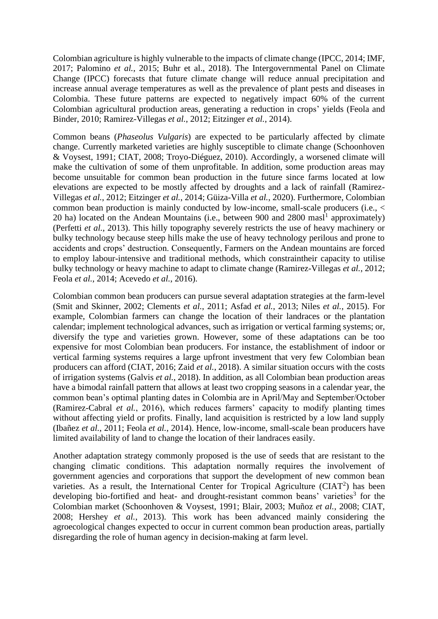Colombian agriculture is highly vulnerable to the impacts of climate change (IPCC, 2014; IMF, 2017; Palomino *et al.*, 2015; Buhr et al., 2018). The Intergovernmental Panel on Climate Change (IPCC) forecasts that future climate change will reduce annual precipitation and increase annual average temperatures as well as the prevalence of plant pests and diseases in Colombia. These future patterns are expected to negatively impact 60% of the current Colombian agricultural production areas, generating a reduction in crops' yields (Feola and Binder, 2010; Ramirez-Villegas *et al.*, 2012; Eitzinger *et al.*, 2014).

Common beans (*Phaseolus Vulgaris*) are expected to be particularly affected by climate change. Currently marketed varieties are highly susceptible to climate change (Schoonhoven & Voysest, 1991; CIAT, 2008; Troyo-Diéguez, 2010). Accordingly, a worsened climate will make the cultivation of some of them unprofitable. In addition, some production areas may become unsuitable for common bean production in the future since farms located at low elevations are expected to be mostly affected by droughts and a lack of rainfall (Ramirez-Villegas *et al.*, 2012; Eitzinger *et al.*, 2014; Güiza-Villa *et al.*, 2020). Furthermore, Colombian common bean production is mainly conducted by low-income, small-scale producers (i.e., < 20 ha) located on the Andean Mountains (i.e., between  $900$  and  $2800$  masl<sup>1</sup> approximately) (Perfetti *et al.*, 2013). This hilly topography severely restricts the use of heavy machinery or bulky technology because steep hills make the use of heavy technology perilous and prone to accidents and crops' destruction. Consequently, Farmers on the Andean mountains are forced to employ labour-intensive and traditional methods, which constraintheir capacity to utilise bulky technology or heavy machine to adapt to climate change (Ramirez-Villegas *et al.*, 2012; Feola *et al.*, 2014; Acevedo *et al.*, 2016).

Colombian common bean producers can pursue several adaptation strategies at the farm-level (Smit and Skinner, 2002; Clements *et al.*, 2011; Asfad *et al.*, 2013; Niles *et al.*, 2015). For example, Colombian farmers can change the location of their landraces or the plantation calendar; implement technological advances, such as irrigation or vertical farming systems; or, diversify the type and varieties grown. However, some of these adaptations can be too expensive for most Colombian bean producers. For instance, the establishment of indoor or vertical farming systems requires a large upfront investment that very few Colombian bean producers can afford (CIAT, 2016; Zaid *et al.*, 2018). A similar situation occurs with the costs of irrigation systems (Galvis *et al.*, 2018). In addition, as all Colombian bean production areas have a bimodal rainfall pattern that allows at least two cropping seasons in a calendar year, the common bean's optimal planting dates in Colombia are in April/May and September/October (Ramirez-Cabral *et al.*, 2016), which reduces farmers' capacity to modify planting times without affecting yield or profits. Finally, land acquisition is restricted by a low land supply (Ibañez *et al.*, 2011; Feola *et al.*, 2014). Hence, low-income, small-scale bean producers have limited availability of land to change the location of their landraces easily.

Another adaptation strategy commonly proposed is the use of seeds that are resistant to the changing climatic conditions. This adaptation normally requires the involvement of government agencies and corporations that support the development of new common bean varieties. As a result, the International Center for Tropical Agriculture ( $CIAT<sup>2</sup>$ ) has been developing bio-fortified and heat- and drought-resistant common beans' varieties<sup>3</sup> for the Colombian market (Schoonhoven & Voysest, 1991; Blair, 2003; Muñoz *et al.*, 2008; CIAT, 2008; Hershey *et al.*, 2013). This work has been advanced mainly considering the agroecological changes expected to occur in current common bean production areas, partially disregarding the role of human agency in decision-making at farm level.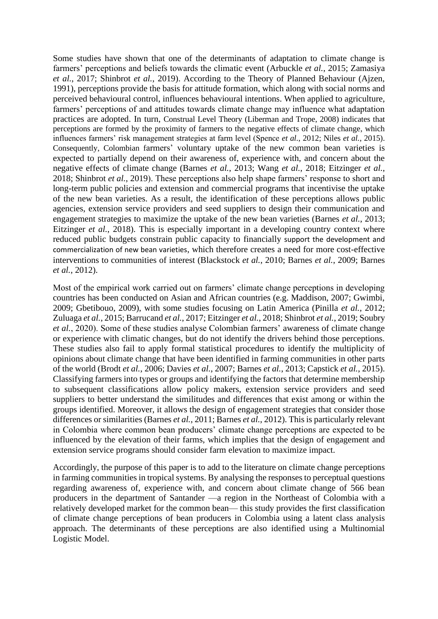Some studies have shown that one of the determinants of adaptation to climate change is farmers' perceptions and beliefs towards the climatic event (Arbuckle *et al.*, 2015; Zamasiya *et al.*, 2017; Shinbrot *et al.*, 2019). According to the Theory of Planned Behaviour (Ajzen, 1991), perceptions provide the basis for attitude formation, which along with social norms and perceived behavioural control, influences behavioural intentions. When applied to agriculture, farmers' perceptions of and attitudes towards climate change may influence what adaptation practices are adopted. In turn, Construal Level Theory (Liberman and Trope, 2008) indicates that perceptions are formed by the proximity of farmers to the negative effects of climate change, which influences farmers' risk management strategies at farm level (Spence *et al.*, 2012; Niles *et al.*, 2015). Consequently, Colombian farmers' voluntary uptake of the new common bean varieties is expected to partially depend on their awareness of, experience with, and concern about the negative effects of climate change (Barnes *et al.*, 2013; Wang *et al.*, 2018; Eitzinger *et al.*, 2018; Shinbrot *et al.*, 2019). These perceptions also help shape farmers' response to short and long-term public policies and extension and commercial programs that incentivise the uptake of the new bean varieties. As a result, the identification of these perceptions allows public agencies, extension service providers and seed suppliers to design their communication and engagement strategies to maximize the uptake of the new bean varieties (Barnes *et al.*, 2013; Eitzinger *et al.*, 2018). This is especially important in a developing country context where reduced public budgets constrain public capacity to financially support the development and commercialization of new bean varieties, which therefore creates a need for more cost-effective interventions to communities of interest (Blackstock *et al.*, 2010; Barnes *et al.*, 2009; Barnes *et al.*, 2012).

Most of the empirical work carried out on farmers' climate change perceptions in developing countries has been conducted on Asian and African countries (e.g. Maddison, 2007; Gwimbi, 2009; Gbetibouo, 2009), with some studies focusing on Latin America (Pinilla *et al.*, 2012; Zuluaga *et al.*, 2015; Barrucand *et al.*, 2017; Eitzinger *et al.*, 2018; Shinbrot *et al.*, 2019; Soubry *et al.*, 2020). Some of these studies analyse Colombian farmers' awareness of climate change or experience with climatic changes, but do not identify the drivers behind those perceptions. These studies also fail to apply formal statistical procedures to identify the multiplicity of opinions about climate change that have been identified in farming communities in other parts of the world (Brodt *et al.*, 2006; Davies *et al.*, 2007; Barnes *et al.*, 2013; Capstick *et al.*, 2015). Classifying farmers into types or groups and identifying the factors that determine membership to subsequent classifications allow policy makers, extension service providers and seed suppliers to better understand the similitudes and differences that exist among or within the groups identified. Moreover, it allows the design of engagement strategies that consider those differences or similarities (Barnes *et al.*, 2011; Barnes *et al.*, 2012). This is particularly relevant in Colombia where common bean producers' climate change perceptions are expected to be influenced by the elevation of their farms, which implies that the design of engagement and extension service programs should consider farm elevation to maximize impact.

Accordingly, the purpose of this paper is to add to the literature on climate change perceptions in farming communities in tropical systems. By analysing the responses to perceptual questions regarding awareness of, experience with, and concern about climate change of 566 bean producers in the department of Santander —a region in the Northeast of Colombia with a relatively developed market for the common bean— this study provides the first classification of climate change perceptions of bean producers in Colombia using a latent class analysis approach. The determinants of these perceptions are also identified using a Multinomial Logistic Model.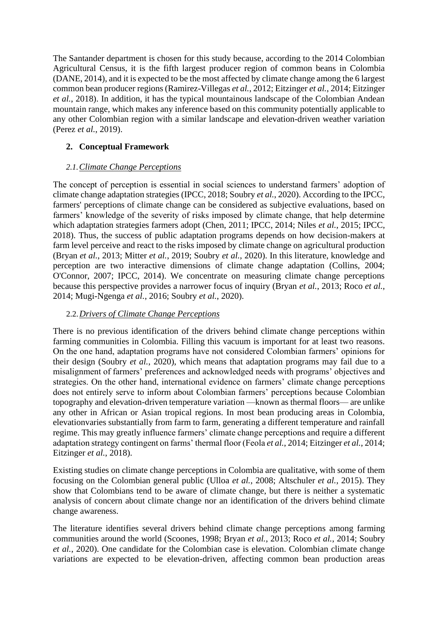The Santander department is chosen for this study because, according to the 2014 Colombian Agricultural Census, it is the fifth largest producer region of common beans in Colombia (DANE, 2014), and it is expected to be the most affected by climate change among the 6 largest common bean producer regions (Ramirez-Villegas *et al.*, 2012; Eitzinger *et al.*, 2014; Eitzinger *et al.*, 2018). In addition, it has the typical mountainous landscape of the Colombian Andean mountain range, which makes any inference based on this community potentially applicable to any other Colombian region with a similar landscape and elevation-driven weather variation (Perez *et al.*, 2019).

# **2. Conceptual Framework**

# *2.1.Climate Change Perceptions*

The concept of perception is essential in social sciences to understand farmers' adoption of climate change adaptation strategies (IPCC, 2018; Soubry *et al.*, 2020). According to the IPCC, farmers' perceptions of climate change can be considered as subjective evaluations, based on farmers' knowledge of the severity of risks imposed by climate change, that help determine which adaptation strategies farmers adopt (Chen, 2011; IPCC, 2014; Niles *et al.*, 2015; IPCC, 2018). Thus, the success of public adaptation programs depends on how decision-makers at farm level perceive and react to the risks imposed by climate change on agricultural production (Bryan *et al.*, 2013; Mitter *et al.*, 2019; Soubry *et al.*, 2020). In this literature, knowledge and perception are two interactive dimensions of climate change adaptation (Collins, 2004; O'Connor, 2007; IPCC, 2014). We concentrate on measuring climate change perceptions because this perspective provides a narrower focus of inquiry (Bryan *et al.*, 2013; Roco *et al.*, 2014; Mugi-Ngenga *et al.*, 2016; Soubry *et al.*, 2020).

# 2.2.*Drivers of Climate Change Perceptions*

There is no previous identification of the drivers behind climate change perceptions within farming communities in Colombia. Filling this vacuum is important for at least two reasons. On the one hand, adaptation programs have not considered Colombian farmers' opinions for their design (Soubry *et al.*, 2020), which means that adaptation programs may fail due to a misalignment of farmers' preferences and acknowledged needs with programs' objectives and strategies. On the other hand, international evidence on farmers' climate change perceptions does not entirely serve to inform about Colombian farmers' perceptions because Colombian topography and elevation-driven temperature variation —known as thermal floors— are unlike any other in African or Asian tropical regions. In most bean producing areas in Colombia, elevationvaries substantially from farm to farm, generating a different temperature and rainfall regime. This may greatly influence farmers' climate change perceptions and require a different adaptation strategy contingent on farms' thermal floor (Feola *et al.*, 2014; Eitzinger *et al.*, 2014; Eitzinger *et al.*, 2018).

Existing studies on climate change perceptions in Colombia are qualitative, with some of them focusing on the Colombian general public (Ulloa *et al.*, 2008; Altschuler *et al.*, 2015). They show that Colombians tend to be aware of climate change, but there is neither a systematic analysis of concern about climate change nor an identification of the drivers behind climate change awareness.

The literature identifies several drivers behind climate change perceptions among farming communities around the world (Scoones, 1998; Bryan *et al.*, 2013; Roco *et al.*, 2014; Soubry *et al.*, 2020). One candidate for the Colombian case is elevation. Colombian climate change variations are expected to be elevation-driven, affecting common bean production areas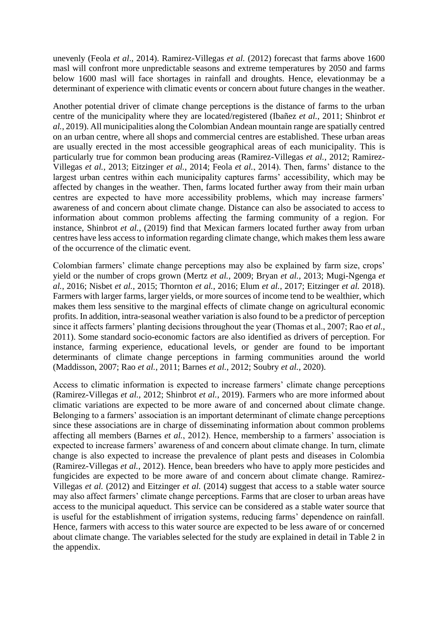unevenly (Feola *et al*., 2014). Ramirez-Villegas *et al.* (2012) forecast that farms above 1600 masl will confront more unpredictable seasons and extreme temperatures by 2050 and farms below 1600 masl will face shortages in rainfall and droughts. Hence, elevationmay be a determinant of experience with climatic events or concern about future changes in the weather.

Another potential driver of climate change perceptions is the distance of farms to the urban centre of the municipality where they are located/registered (Ibañez *et al.*, 2011; Shinbrot *et al.*, 2019). All municipalities along the Colombian Andean mountain range are spatially centred on an urban centre, where all shops and commercial centres are established. These urban areas are usually erected in the most accessible geographical areas of each municipality. This is particularly true for common bean producing areas (Ramirez-Villegas *et al.*, 2012; Ramirez-Villegas *et al.*, 2013; Eitzinger *et al.*, 2014; Feola *et al.*, 2014). Then, farms' distance to the largest urban centres within each municipality captures farms' accessibility, which may be affected by changes in the weather. Then, farms located further away from their main urban centres are expected to have more accessibility problems, which may increase farmers' awareness of and concern about climate change. Distance can also be associated to access to information about common problems affecting the farming community of a region. For instance, Shinbrot *et al.*, (2019) find that Mexican farmers located further away from urban centres have less access to information regarding climate change, which makes them less aware of the occurrence of the climatic event.

Colombian farmers' climate change perceptions may also be explained by farm size, crops' yield or the number of crops grown (Mertz *et al.*, 2009; Bryan *et al.*, 2013; Mugi-Ngenga *et al.*, 2016; Nisbet *et al.*, 2015; Thornton *et al.*, 2016; Elum *et al.*, 2017; Eitzinger *et al.* 2018). Farmers with larger farms, larger yields, or more sources of income tend to be wealthier, which makes them less sensitive to the marginal effects of climate change on agricultural economic profits. In addition, intra-seasonal weather variation is also found to be a predictor of perception since it affects farmers' planting decisions throughout the year (Thomas et al., 2007; Rao *et al.*, 2011). Some standard socio-economic factors are also identified as drivers of perception. For instance, farming experience, educational levels, or gender are found to be important determinants of climate change perceptions in farming communities around the world (Maddisson, 2007; Rao *et al.*, 2011; Barnes *et al.*, 2012; Soubry *et al.*, 2020).

Access to climatic information is expected to increase farmers' climate change perceptions (Ramirez-Villegas *et al.,* 2012; Shinbrot *et al.*, 2019). Farmers who are more informed about climatic variations are expected to be more aware of and concerned about climate change. Belonging to a farmers' association is an important determinant of climate change perceptions since these associations are in charge of disseminating information about common problems affecting all members (Barnes *et al.*, 2012). Hence, membership to a farmers' association is expected to increase farmers' awareness of and concern about climate change. In turn, climate change is also expected to increase the prevalence of plant pests and diseases in Colombia (Ramirez-Villegas *et al.*, 2012). Hence, bean breeders who have to apply more pesticides and fungicides are expected to be more aware of and concern about climate change. Ramirez-Villegas *et al.* (2012) and Eitzinger *et al.* (2014) suggest that access to a stable water source may also affect farmers' climate change perceptions. Farms that are closer to urban areas have access to the municipal aqueduct. This service can be considered as a stable water source that is useful for the establishment of irrigation systems, reducing farms' dependence on rainfall. Hence, farmers with access to this water source are expected to be less aware of or concerned about climate change. The variables selected for the study are explained in detail in Table 2 in the appendix.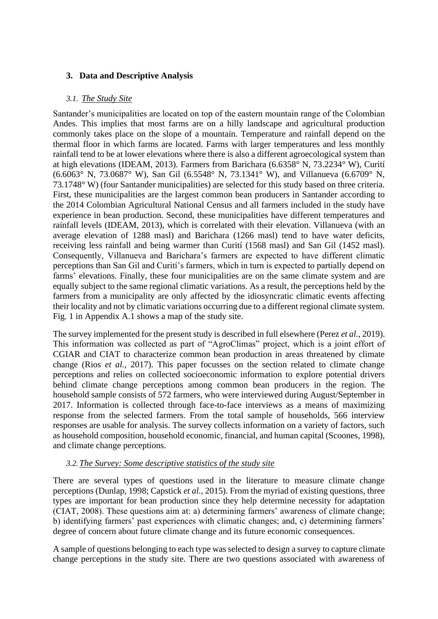# **3. Data and Descriptive Analysis**

# *3.1. The Study Site*

Santander's municipalities are located on top of the eastern mountain range of the Colombian Andes. This implies that most farms are on a hilly landscape and agricultural production commonly takes place on the slope of a mountain. Temperature and rainfall depend on the thermal floor in which farms are located. Farms with larger temperatures and less monthly rainfall tend to be at lower elevations where there is also a different agroecological system than at high elevations (IDEAM, 2013). Farmers from Barichara (6.6358° N, 73.2234° W), Curití (6.6063° N, 73.0687° W), San Gil (6.5548° N, 73.1341° W), and Villanueva (6.6709° N, 73.1748° W) (four Santander municipalities) are selected for this study based on three criteria. First, these municipalities are the largest common bean producers in Santander according to the 2014 Colombian Agricultural National Census and all farmers included in the study have experience in bean production. Second, these municipalities have different temperatures and rainfall levels (IDEAM, 2013), which is correlated with their elevation. Villanueva (with an average elevation of 1288 masl) and Barichara (1266 masl) tend to have water deficits, receiving less rainfall and being warmer than Curití (1568 masl) and San Gil (1452 masl). Consequently, Villanueva and Barichara's farmers are expected to have different climatic perceptions than San Gil and Curití's farmers, which in turn is expected to partially depend on farms' elevations. Finally, these four municipalities are on the same climate system and are equally subject to the same regional climatic variations. As a result, the perceptions held by the farmers from a municipality are only affected by the idiosyncratic climatic events affecting their locality and not by climatic variations occurring due to a different regional climate system. Fig. 1 in Appendix A.1 shows a map of the study site.

The survey implemented for the present study is described in full elsewhere (Perez *et al.*, 2019). This information was collected as part of "AgroClimas" project, which is a joint effort of CGIAR and CIAT to characterize common bean production in areas threatened by climate change (Rios *et al.*, 2017). This paper focusses on the section related to climate change perceptions and relies on collected socioeconomic information to explore potential drivers behind climate change perceptions among common bean producers in the region. The household sample consists of 572 farmers, who were interviewed during August/September in 2017. Information is collected through face-to-face interviews as a means of maximizing response from the selected farmers. From the total sample of households, 566 interview responses are usable for analysis. The survey collects information on a variety of factors, such as household composition, household economic, financial, and human capital (Scoones, 1998), and climate change perceptions.

# *3.2.The Survey: Some descriptive statistics of the study site*

There are several types of questions used in the literature to measure climate change perceptions (Dunlap, 1998; Capstick *et al.,* 2015). From the myriad of existing questions, three types are important for bean production since they help determine necessity for adaptation (CIAT, 2008). These questions aim at: a) determining farmers' awareness of climate change; b) identifying farmers' past experiences with climatic changes; and, c) determining farmers' degree of concern about future climate change and its future economic consequences.

A sample of questions belonging to each type was selected to design a survey to capture climate change perceptions in the study site. There are two questions associated with awareness of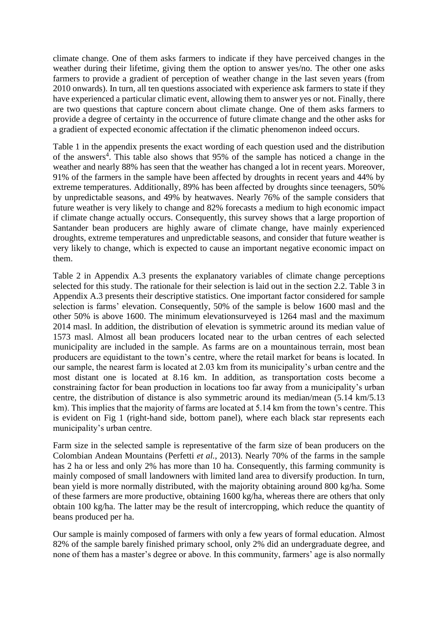climate change. One of them asks farmers to indicate if they have perceived changes in the weather during their lifetime, giving them the option to answer yes/no. The other one asks farmers to provide a gradient of perception of weather change in the last seven years (from 2010 onwards). In turn, all ten questions associated with experience ask farmers to state if they have experienced a particular climatic event, allowing them to answer yes or not. Finally, there are two questions that capture concern about climate change. One of them asks farmers to provide a degree of certainty in the occurrence of future climate change and the other asks for a gradient of expected economic affectation if the climatic phenomenon indeed occurs.

Table 1 in the appendix presents the exact wording of each question used and the distribution of the answers<sup>4</sup>. This table also shows that 95% of the sample has noticed a change in the weather and nearly 88% has seen that the weather has changed a lot in recent years. Moreover, 91% of the farmers in the sample have been affected by droughts in recent years and 44% by extreme temperatures. Additionally, 89% has been affected by droughts since teenagers, 50% by unpredictable seasons, and 49% by heatwaves. Nearly 76% of the sample considers that future weather is very likely to change and 82% forecasts a medium to high economic impact if climate change actually occurs. Consequently, this survey shows that a large proportion of Santander bean producers are highly aware of climate change, have mainly experienced droughts, extreme temperatures and unpredictable seasons, and consider that future weather is very likely to change, which is expected to cause an important negative economic impact on them.

Table 2 in Appendix A.3 presents the explanatory variables of climate change perceptions selected for this study. The rationale for their selection is laid out in the section 2.2. Table 3 in Appendix A.3 presents their descriptive statistics. One important factor considered for sample selection is farms' elevation. Consequently, 50% of the sample is below 1600 masl and the other 50% is above 1600. The minimum elevationsurveyed is 1264 masl and the maximum 2014 masl. In addition, the distribution of elevation is symmetric around its median value of 1573 masl. Almost all bean producers located near to the urban centres of each selected municipality are included in the sample. As farms are on a mountainous terrain, most bean producers are equidistant to the town's centre, where the retail market for beans is located. In our sample, the nearest farm is located at 2.03 km from its municipality's urban centre and the most distant one is located at 8.16 km. In addition, as transportation costs become a constraining factor for bean production in locations too far away from a municipality's urban centre, the distribution of distance is also symmetric around its median/mean (5.14 km/5.13 km). This implies that the majority of farms are located at 5.14 km from the town's centre. This is evident on Fig 1 (right-hand side, bottom panel), where each black star represents each municipality's urban centre.

Farm size in the selected sample is representative of the farm size of bean producers on the Colombian Andean Mountains (Perfetti *et al.*, 2013). Nearly 70% of the farms in the sample has 2 ha or less and only 2% has more than 10 ha. Consequently, this farming community is mainly composed of small landowners with limited land area to diversify production. In turn, bean yield is more normally distributed, with the majority obtaining around 800 kg/ha. Some of these farmers are more productive, obtaining 1600 kg/ha, whereas there are others that only obtain 100 kg/ha. The latter may be the result of intercropping, which reduce the quantity of beans produced per ha.

Our sample is mainly composed of farmers with only a few years of formal education. Almost 82% of the sample barely finished primary school, only 2% did an undergraduate degree, and none of them has a master's degree or above. In this community, farmers' age is also normally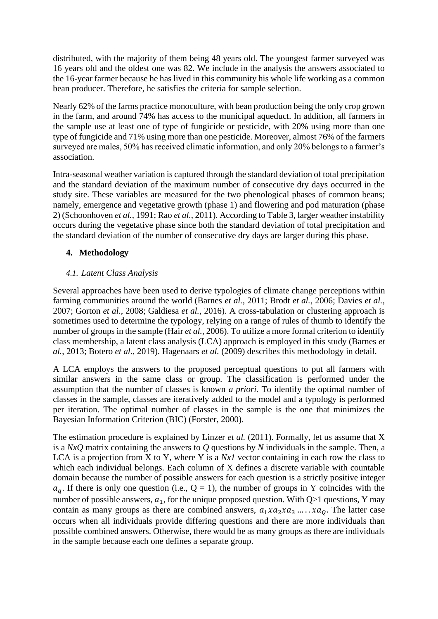distributed, with the majority of them being 48 years old. The youngest farmer surveyed was 16 years old and the oldest one was 82. We include in the analysis the answers associated to the 16-year farmer because he has lived in this community his whole life working as a common bean producer. Therefore, he satisfies the criteria for sample selection.

Nearly 62% of the farms practice monoculture, with bean production being the only crop grown in the farm, and around 74% has access to the municipal aqueduct. In addition, all farmers in the sample use at least one of type of fungicide or pesticide, with 20% using more than one type of fungicide and 71% using more than one pesticide. Moreover, almost 76% of the farmers surveyed are males, 50% has received climatic information, and only 20% belongs to a farmer's association.

Intra-seasonal weather variation is captured through the standard deviation of total precipitation and the standard deviation of the maximum number of consecutive dry days occurred in the study site. These variables are measured for the two phenological phases of common beans; namely, emergence and vegetative growth (phase 1) and flowering and pod maturation (phase 2) (Schoonhoven *et al.*, 1991; Rao *et al.*, 2011). According to Table 3, larger weather instability occurs during the vegetative phase since both the standard deviation of total precipitation and the standard deviation of the number of consecutive dry days are larger during this phase.

# **4. Methodology**

# *4.1. Latent Class Analysis*

Several approaches have been used to derive typologies of climate change perceptions within farming communities around the world (Barnes *et al.*, 2011; Brodt *et al.*, 2006; Davies *et al.*, 2007; Gorton *et al.*, 2008; Galdiesa *et al.*, 2016). A cross-tabulation or clustering approach is sometimes used to determine the typology, relying on a range of rules of thumb to identify the number of groups in the sample (Hair *et al.*, 2006). To utilize a more formal criterion to identify class membership, a latent class analysis (LCA) approach is employed in this study (Barnes *et al.*, 2013; Botero *et al.*, 2019). Hagenaars *et al.* (2009) describes this methodology in detail.

A LCA employs the answers to the proposed perceptual questions to put all farmers with similar answers in the same class or group. The classification is performed under the assumption that the number of classes is known *a priori.* To identify the optimal number of classes in the sample, classes are iteratively added to the model and a typology is performed per iteration. The optimal number of classes in the sample is the one that minimizes the Bayesian Information Criterion (BIC) (Forster, 2000).

The estimation procedure is explained by Linzer *et al.* (2011). Formally, let us assume that X is a *NxQ* matrix containing the answers to *Q* questions by *N* individuals in the sample. Then, a LCA is a projection from X to Y, where Y is a *Nx1* vector containing in each row the class to which each individual belongs. Each column of X defines a discrete variable with countable domain because the number of possible answers for each question is a strictly positive integer  $a<sub>q</sub>$ . If there is only one question (i.e., Q = 1), the number of groups in Y coincides with the number of possible answers,  $a_1$ , for the unique proposed question. With Q>1 questions, Y may contain as many groups as there are combined answers,  $a_1xa_2xa_3\ldots x a_0$ . The latter case occurs when all individuals provide differing questions and there are more individuals than possible combined answers. Otherwise, there would be as many groups as there are individuals in the sample because each one defines a separate group.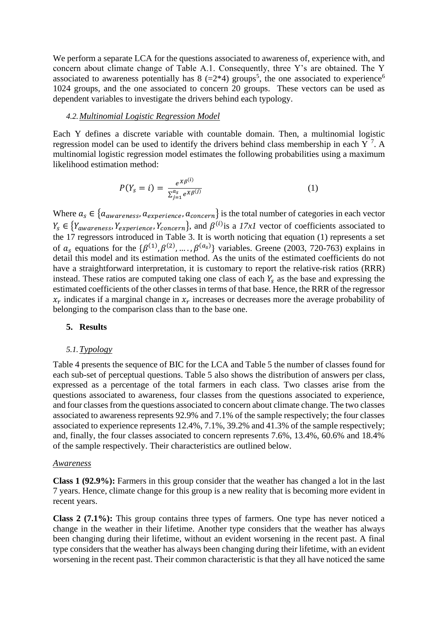We perform a separate LCA for the questions associated to awareness of, experience with, and concern about climate change of Table A.1. Consequently, three Y's are obtained. The Y associated to awareness potentially has  $8$  (=2\*4) groups<sup>5</sup>, the one associated to experience<sup>6</sup> 1024 groups, and the one associated to concern 20 groups. These vectors can be used as dependent variables to investigate the drivers behind each typology.

### *4.2.Multinomial Logistic Regression Model*

Each Y defines a discrete variable with countable domain. Then, a multinomial logistic regression model can be used to identify the drivers behind class membership in each  $Y$ <sup>7</sup>. A multinomial logistic regression model estimates the following probabilities using a maximum likelihood estimation method:

$$
P(Y_s = i) = \frac{e^{X\beta^{(i)}}}{\sum_{j=1}^{a_s} e^{X\beta^{(j)}}}
$$
 (1)

Where  $a_s \in \{a_{awareness}, a_{experience}, a_{concern}\}$  is the total number of categories in each vector  $Y_s \in \{Y_{awareness}, Y_{experience}, Y_{concern}\}$ , and  $\beta^{(i)}$  is a 17x1 vector of coefficients associated to the 17 regressors introduced in Table 3. It is worth noticing that equation (1) represents a set of  $a_s$  equations for the  $\{\beta^{(1)}, \beta^{(2)}, \dots, \beta^{(a_s)}\}$  variables. Greene (2003, 720-763) explains in detail this model and its estimation method. As the units of the estimated coefficients do not have a straightforward interpretation, it is customary to report the relative-risk ratios (RRR) instead. These ratios are computed taking one class of each  $Y_s$  as the base and expressing the estimated coefficients of the other classes in terms of that base. Hence, the RRR of the regressor  $x_r$  indicates if a marginal change in  $x_r$  increases or decreases more the average probability of belonging to the comparison class than to the base one.

#### **5. Results**

#### *5.1.Typology*

Table 4 presents the sequence of BIC for the LCA and Table 5 the number of classes found for each sub-set of perceptual questions. Table 5 also shows the distribution of answers per class, expressed as a percentage of the total farmers in each class. Two classes arise from the questions associated to awareness, four classes from the questions associated to experience, and four classes from the questions associated to concern about climate change. The two classes associated to awareness represents 92.9% and 7.1% of the sample respectively; the four classes associated to experience represents 12.4%, 7.1%, 39.2% and 41.3% of the sample respectively; and, finally, the four classes associated to concern represents 7.6%, 13.4%, 60.6% and 18.4% of the sample respectively. Their characteristics are outlined below.

#### *Awareness*

**Class 1 (92.9%):** Farmers in this group consider that the weather has changed a lot in the last 7 years. Hence, climate change for this group is a new reality that is becoming more evident in recent years.

**Class 2 (7.1%):** This group contains three types of farmers. One type has never noticed a change in the weather in their lifetime. Another type considers that the weather has always been changing during their lifetime, without an evident worsening in the recent past. A final type considers that the weather has always been changing during their lifetime, with an evident worsening in the recent past. Their common characteristic is that they all have noticed the same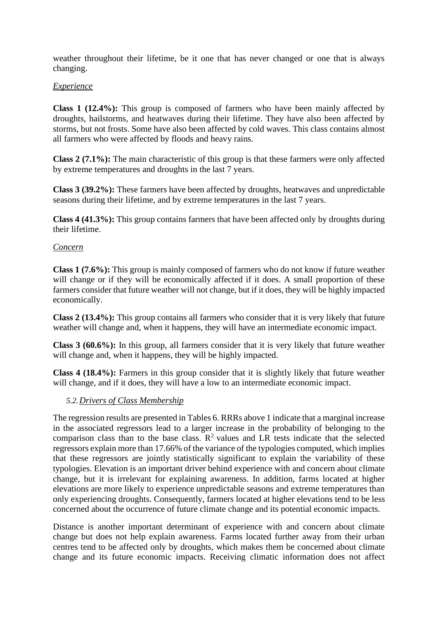weather throughout their lifetime, be it one that has never changed or one that is always changing.

# *Experience*

**Class 1 (12.4%):** This group is composed of farmers who have been mainly affected by droughts, hailstorms, and heatwaves during their lifetime. They have also been affected by storms, but not frosts. Some have also been affected by cold waves. This class contains almost all farmers who were affected by floods and heavy rains.

**Class 2 (7.1%):** The main characteristic of this group is that these farmers were only affected by extreme temperatures and droughts in the last 7 years.

**Class 3 (39.2%):** These farmers have been affected by droughts, heatwaves and unpredictable seasons during their lifetime, and by extreme temperatures in the last 7 years.

**Class 4 (41.3%):** This group contains farmers that have been affected only by droughts during their lifetime.

# *Concern*

**Class 1 (7.6%):** This group is mainly composed of farmers who do not know if future weather will change or if they will be economically affected if it does. A small proportion of these farmers consider that future weather will not change, but if it does, they will be highly impacted economically.

**Class 2 (13.4%):** This group contains all farmers who consider that it is very likely that future weather will change and, when it happens, they will have an intermediate economic impact.

**Class 3 (60.6%):** In this group, all farmers consider that it is very likely that future weather will change and, when it happens, they will be highly impacted.

**Class 4 (18.4%):** Farmers in this group consider that it is slightly likely that future weather will change, and if it does, they will have a low to an intermediate economic impact.

## *5.2.Drivers of Class Membership*

The regression results are presented in Tables 6. RRRs above 1 indicate that a marginal increase in the associated regressors lead to a larger increase in the probability of belonging to the comparison class than to the base class.  $R^2$  values and LR tests indicate that the selected regressors explain more than 17.66% of the variance of the typologies computed, which implies that these regressors are jointly statistically significant to explain the variability of these typologies. Elevation is an important driver behind experience with and concern about climate change, but it is irrelevant for explaining awareness. In addition, farms located at higher elevations are more likely to experience unpredictable seasons and extreme temperatures than only experiencing droughts. Consequently, farmers located at higher elevations tend to be less concerned about the occurrence of future climate change and its potential economic impacts.

Distance is another important determinant of experience with and concern about climate change but does not help explain awareness. Farms located further away from their urban centres tend to be affected only by droughts, which makes them be concerned about climate change and its future economic impacts. Receiving climatic information does not affect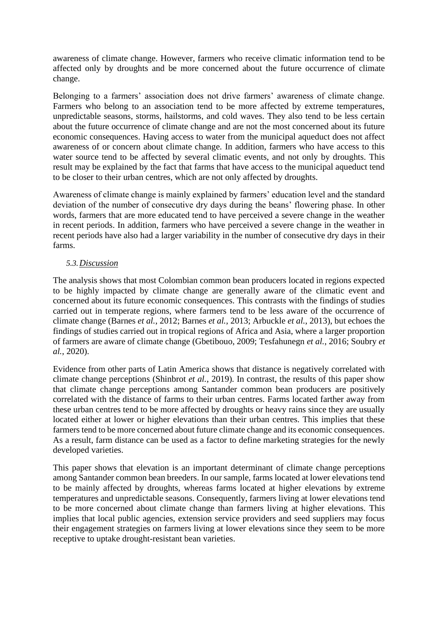awareness of climate change. However, farmers who receive climatic information tend to be affected only by droughts and be more concerned about the future occurrence of climate change.

Belonging to a farmers' association does not drive farmers' awareness of climate change. Farmers who belong to an association tend to be more affected by extreme temperatures, unpredictable seasons, storms, hailstorms, and cold waves. They also tend to be less certain about the future occurrence of climate change and are not the most concerned about its future economic consequences. Having access to water from the municipal aqueduct does not affect awareness of or concern about climate change. In addition, farmers who have access to this water source tend to be affected by several climatic events, and not only by droughts. This result may be explained by the fact that farms that have access to the municipal aqueduct tend to be closer to their urban centres, which are not only affected by droughts.

Awareness of climate change is mainly explained by farmers' education level and the standard deviation of the number of consecutive dry days during the beans' flowering phase. In other words, farmers that are more educated tend to have perceived a severe change in the weather in recent periods. In addition, farmers who have perceived a severe change in the weather in recent periods have also had a larger variability in the number of consecutive dry days in their farms.

# *5.3.Discussion*

The analysis shows that most Colombian common bean producers located in regions expected to be highly impacted by climate change are generally aware of the climatic event and concerned about its future economic consequences. This contrasts with the findings of studies carried out in temperate regions, where farmers tend to be less aware of the occurrence of climate change (Barnes *et al.*, 2012; Barnes *et al.*, 2013; Arbuckle *et al.*, 2013), but echoes the findings of studies carried out in tropical regions of Africa and Asia, where a larger proportion of farmers are aware of climate change (Gbetibouo, 2009; Tesfahunegn *et al.*, 2016; Soubry *et al.*, 2020).

Evidence from other parts of Latin America shows that distance is negatively correlated with climate change perceptions (Shinbrot *et al.*, 2019). In contrast, the results of this paper show that climate change perceptions among Santander common bean producers are positively correlated with the distance of farms to their urban centres. Farms located farther away from these urban centres tend to be more affected by droughts or heavy rains since they are usually located either at lower or higher elevations than their urban centres. This implies that these farmers tend to be more concerned about future climate change and its economic consequences. As a result, farm distance can be used as a factor to define marketing strategies for the newly developed varieties.

This paper shows that elevation is an important determinant of climate change perceptions among Santander common bean breeders. In our sample, farms located at lower elevations tend to be mainly affected by droughts, whereas farms located at higher elevations by extreme temperatures and unpredictable seasons. Consequently, farmers living at lower elevations tend to be more concerned about climate change than farmers living at higher elevations. This implies that local public agencies, extension service providers and seed suppliers may focus their engagement strategies on farmers living at lower elevations since they seem to be more receptive to uptake drought-resistant bean varieties.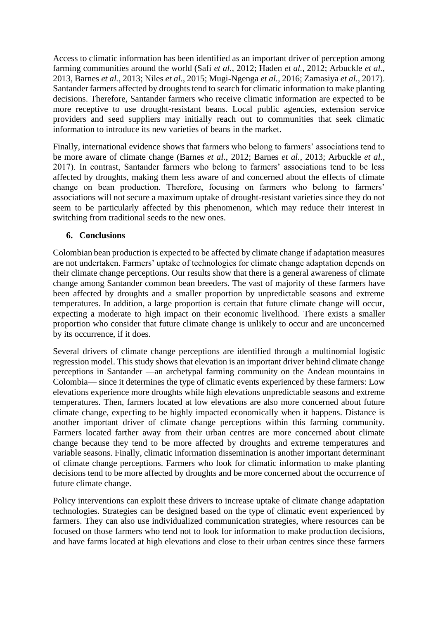Access to climatic information has been identified as an important driver of perception among farming communities around the world (Safi *et al.*, 2012; Haden *et al.*, 2012; Arbuckle *et al.*, 2013, Barnes *et al.*, 2013; Niles *et al.*, 2015; Mugi-Ngenga *et al.*, 2016; Zamasiya *et al.*, 2017). Santander farmers affected by droughts tend to search for climatic information to make planting decisions. Therefore, Santander farmers who receive climatic information are expected to be more receptive to use drought-resistant beans. Local public agencies, extension service providers and seed suppliers may initially reach out to communities that seek climatic information to introduce its new varieties of beans in the market.

Finally, international evidence shows that farmers who belong to farmers' associations tend to be more aware of climate change (Barnes *et al*., 2012; Barnes *et al.*, 2013; Arbuckle *et al.*, 2017). In contrast, Santander farmers who belong to farmers' associations tend to be less affected by droughts, making them less aware of and concerned about the effects of climate change on bean production. Therefore, focusing on farmers who belong to farmers' associations will not secure a maximum uptake of drought-resistant varieties since they do not seem to be particularly affected by this phenomenon, which may reduce their interest in switching from traditional seeds to the new ones.

# **6. Conclusions**

Colombian bean production is expected to be affected by climate change if adaptation measures are not undertaken. Farmers' uptake of technologies for climate change adaptation depends on their climate change perceptions. Our results show that there is a general awareness of climate change among Santander common bean breeders. The vast of majority of these farmers have been affected by droughts and a smaller proportion by unpredictable seasons and extreme temperatures. In addition, a large proportion is certain that future climate change will occur, expecting a moderate to high impact on their economic livelihood. There exists a smaller proportion who consider that future climate change is unlikely to occur and are unconcerned by its occurrence, if it does.

Several drivers of climate change perceptions are identified through a multinomial logistic regression model. This study shows that elevation is an important driver behind climate change perceptions in Santander —an archetypal farming community on the Andean mountains in Colombia— since it determines the type of climatic events experienced by these farmers: Low elevations experience more droughts while high elevations unpredictable seasons and extreme temperatures. Then, farmers located at low elevations are also more concerned about future climate change, expecting to be highly impacted economically when it happens. Distance is another important driver of climate change perceptions within this farming community. Farmers located farther away from their urban centres are more concerned about climate change because they tend to be more affected by droughts and extreme temperatures and variable seasons. Finally, climatic information dissemination is another important determinant of climate change perceptions. Farmers who look for climatic information to make planting decisions tend to be more affected by droughts and be more concerned about the occurrence of future climate change.

Policy interventions can exploit these drivers to increase uptake of climate change adaptation technologies. Strategies can be designed based on the type of climatic event experienced by farmers. They can also use individualized communication strategies, where resources can be focused on those farmers who tend not to look for information to make production decisions, and have farms located at high elevations and close to their urban centres since these farmers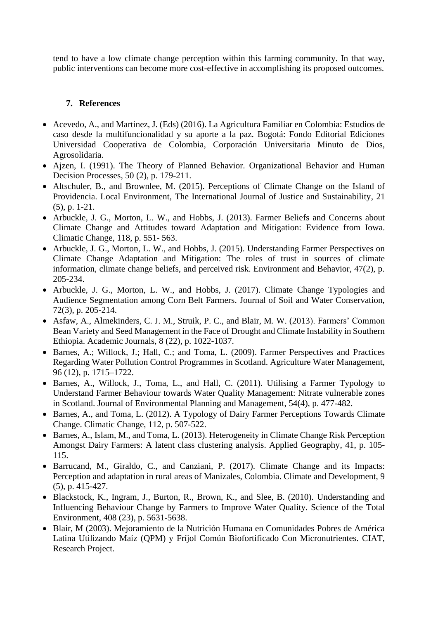tend to have a low climate change perception within this farming community. In that way, public interventions can become more cost-effective in accomplishing its proposed outcomes.

# **7. References**

- Acevedo, A., and Martinez, J. (Eds) (2016). La Agricultura Familiar en Colombia: Estudios de caso desde la multifuncionalidad y su aporte a la paz. Bogotá: Fondo Editorial Ediciones Universidad Cooperativa de Colombia, Corporación Universitaria Minuto de Dios, Agrosolidaria.
- Ajzen, I. (1991). The Theory of Planned Behavior. Organizational Behavior and Human Decision Processes, 50 (2), p. 179-211.
- Altschuler, B., and Brownlee, M. (2015). Perceptions of Climate Change on the Island of Providencia. Local Environment, The International Journal of Justice and Sustainability, 21 (5), p. 1-21.
- Arbuckle, J. G., Morton, L. W., and Hobbs, J. (2013). Farmer Beliefs and Concerns about Climate Change and Attitudes toward Adaptation and Mitigation: Evidence from Iowa. Climatic Change, 118, p. 551- 563.
- Arbuckle, J. G., Morton, L. W., and Hobbs, J. (2015). Understanding Farmer Perspectives on Climate Change Adaptation and Mitigation: The roles of trust in sources of climate information, climate change beliefs, and perceived risk. Environment and Behavior, 47(2), p. 205-234.
- Arbuckle, J. G., Morton, L. W., and Hobbs, J. (2017). Climate Change Typologies and Audience Segmentation among Corn Belt Farmers. Journal of Soil and Water Conservation, 72(3), p. 205-214.
- Asfaw, A., Almekinders, C. J. M., Struik, P. C., and Blair, M. W. (2013). Farmers' Common Bean Variety and Seed Management in the Face of Drought and Climate Instability in Southern Ethiopia. Academic Journals, 8 (22), p. 1022-1037.
- Barnes, A.; Willock, J.; Hall, C.; and Toma, L. (2009). Farmer Perspectives and Practices Regarding Water Pollution Control Programmes in Scotland. Agriculture Water Management, 96 (12), p. 1715–1722.
- Barnes, A., Willock, J., Toma, L., and Hall, C. (2011). Utilising a Farmer Typology to Understand Farmer Behaviour towards Water Quality Management: Nitrate vulnerable zones in Scotland. Journal of Environmental Planning and Management, 54(4), p. 477-482.
- Barnes, A., and Toma, L. (2012). A Typology of Dairy Farmer Perceptions Towards Climate Change. Climatic Change, 112, p. 507-522.
- Barnes, A., Islam, M., and Toma, L. (2013). Heterogeneity in Climate Change Risk Perception Amongst Dairy Farmers: A latent class clustering analysis. Applied Geography, 41, p. 105- 115.
- Barrucand, M., Giraldo, C., and Canziani, P. (2017). Climate Change and its Impacts: Perception and adaptation in rural areas of Manizales, Colombia. Climate and Development, 9 (5), p. 415-427.
- Blackstock, K., Ingram, J., Burton, R., Brown, K., and Slee, B. (2010). Understanding and Influencing Behaviour Change by Farmers to Improve Water Quality. Science of the Total Environment, 408 (23), p. 5631-5638.
- Blair, M (2003). Mejoramiento de la Nutrición Humana en Comunidades Pobres de América Latina Utilizando Maíz (QPM) y Fríjol Común Biofortificado Con Micronutrientes. CIAT, Research Project.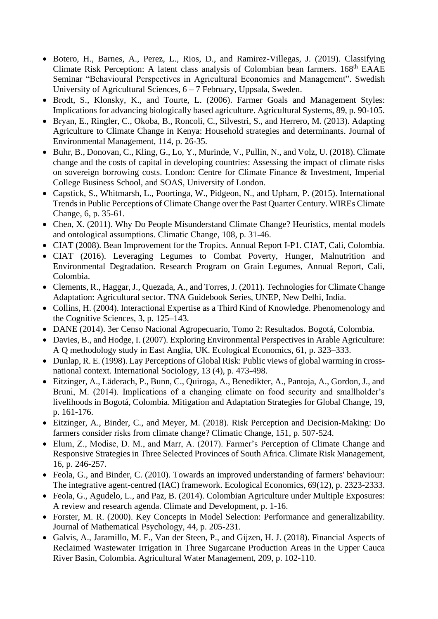- Botero, H., Barnes, A., Perez, L., Rios, D., and Ramirez-Villegas, J. (2019). Classifying Climate Risk Perception: A latent class analysis of Colombian bean farmers. 168th EAAE Seminar "Behavioural Perspectives in Agricultural Economics and Management". Swedish University of Agricultural Sciences, 6 – 7 February, Uppsala, Sweden.
- Brodt, S., Klonsky, K., and Tourte, L. (2006). Farmer Goals and Management Styles: Implications for advancing biologically based agriculture. Agricultural Systems, 89, p. 90-105.
- Bryan, E., Ringler, C., Okoba, B., Roncoli, C., Silvestri, S., and Herrero, M. (2013). Adapting Agriculture to Climate Change in Kenya: Household strategies and determinants. Journal of Environmental Management, 114, p. 26-35.
- Buhr, B., Donovan, C., Kling, G., Lo, Y., Murinde, V., Pullin, N., and Volz, U. (2018). Climate change and the costs of capital in developing countries: Assessing the impact of climate risks on sovereign borrowing costs. London: Centre for Climate Finance & Investment, Imperial College Business School, and SOAS, University of London.
- Capstick, S., Whitmarsh, L., Poortinga, W., Pidgeon, N., and Upham, P. (2015). International Trends in Public Perceptions of Climate Change over the Past Quarter Century. WIREs Climate Change, 6, p. 35-61.
- Chen, X. (2011). Why Do People Misunderstand Climate Change? Heuristics, mental models and ontological assumptions. Climatic Change, 108, p. 31-46.
- CIAT (2008). Bean Improvement for the Tropics. Annual Report I-P1. CIAT, Cali, Colombia.
- CIAT (2016). Leveraging Legumes to Combat Poverty, Hunger, Malnutrition and Environmental Degradation. Research Program on Grain Legumes, Annual Report, Cali, Colombia.
- Clements, R., Haggar, J., Quezada, A., and Torres, J. (2011). Technologies for Climate Change Adaptation: Agricultural sector. TNA Guidebook Series, UNEP, New Delhi, India.
- Collins, H. (2004). Interactional Expertise as a Third Kind of Knowledge. Phenomenology and the Cognitive Sciences, 3, p. 125–143.
- DANE (2014). 3er Censo Nacional Agropecuario, Tomo 2: Resultados. Bogotá, Colombia.
- Davies, B., and Hodge, I. (2007). Exploring Environmental Perspectives in Arable Agriculture: A Q methodology study in East Anglia, UK. Ecological Economics, 61, p. 323–333.
- Dunlap, R. E. (1998). Lay Perceptions of Global Risk: Public views of global warming in crossnational context. International Sociology, 13 (4), p. 473-498.
- Eitzinger, A., Läderach, P., Bunn, C., Quiroga, A., Benedikter, A., Pantoja, A., Gordon, J., and Bruni, M. (2014). Implications of a changing climate on food security and smallholder's livelihoods in Bogotá, Colombia. Mitigation and Adaptation Strategies for Global Change, 19, p. 161-176.
- Eitzinger, A., Binder, C., and Meyer, M. (2018). Risk Perception and Decision-Making: Do farmers consider risks from climate change? Climatic Change, 151, p. 507-524.
- Elum, Z., Modise, D. M., and Marr, A. (2017). Farmer's Perception of Climate Change and Responsive Strategies in Three Selected Provinces of South Africa. Climate Risk Management, 16, p. 246-257.
- Feola, G., and Binder, C. (2010). Towards an improved understanding of farmers' behaviour: The integrative agent-centred (IAC) framework. Ecological Economics, 69(12), p. 2323-2333.
- Feola, G., Agudelo, L., and Paz, B. (2014). Colombian Agriculture under Multiple Exposures: A review and research agenda. Climate and Development, p. 1-16.
- Forster, M. R. (2000). Key Concepts in Model Selection: Performance and generalizability. Journal of Mathematical Psychology, 44, p. 205-231.
- Galvis, A., Jaramillo, M. F., Van der Steen, P., and Gijzen, H. J. (2018). Financial Aspects of Reclaimed Wastewater Irrigation in Three Sugarcane Production Areas in the Upper Cauca River Basin, Colombia. Agricultural Water Management, 209, p. 102-110.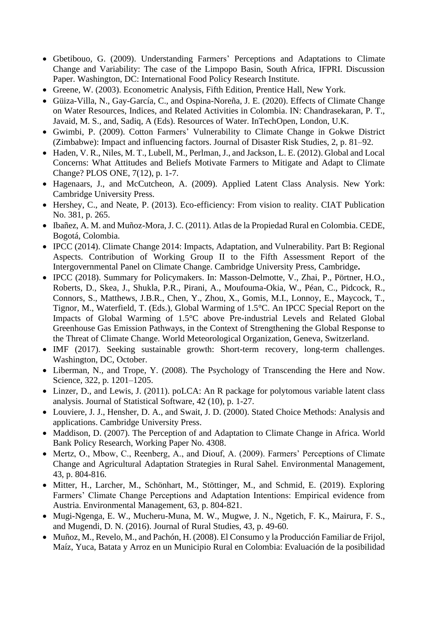- Gbetibouo, G. (2009). Understanding Farmers' Perceptions and Adaptations to Climate Change and Variability: The case of the Limpopo Basin, South Africa, IFPRI. Discussion Paper. Washington, DC: International Food Policy Research Institute.
- Greene, W. (2003). Econometric Analysis, Fifth Edition, Prentice Hall, New York.
- Güiza-Villa, N., Gay-García, C., and Ospina-Noreña, J. E. (2020). Effects of Climate Change on Water Resources, Indices, and Related Activities in Colombia. IN: Chandrasekaran, P. T., Javaid, M. S., and, Sadiq, A (Eds). Resources of Water. InTechOpen, London, U.K.
- Gwimbi, P. (2009). Cotton Farmers' Vulnerability to Climate Change in Gokwe District (Zimbabwe): Impact and influencing factors. Journal of Disaster Risk Studies, 2, p. 81–92.
- Haden, V. R., Niles, M. T., Lubell, M., Perlman, J., and Jackson, L. E. (2012). Global and Local Concerns: What Attitudes and Beliefs Motivate Farmers to Mitigate and Adapt to Climate Change? PLOS ONE, 7(12), p. 1-7.
- Hagenaars, J., and McCutcheon, A. (2009). Applied Latent Class Analysis. New York: Cambridge University Press.
- Hershey, C., and Neate, P. (2013). Eco-efficiency: From vision to reality. CIAT Publication No. 381, p. 265.
- Ibañez, A. M. and Muñoz-Mora, J. C. (2011). Atlas de la Propiedad Rural en Colombia. CEDE, Bogotá, Colombia.
- IPCC (2014). Climate Change 2014: Impacts, Adaptation, and Vulnerability. Part B: Regional Aspects. Contribution of Working Group II to the Fifth Assessment Report of the Intergovernmental Panel on Climate Change. Cambridge University Press, Cambridge**.**
- IPCC (2018). Summary for Policymakers. In: Masson-Delmotte, V., Zhai, P., Pörtner, H.O., Roberts, D., Skea, J., Shukla, P.R., Pirani, A., Moufouma-Okia, W., Péan, C., Pidcock, R., Connors, S., Matthews, J.B.R., Chen, Y., Zhou, X., Gomis, M.I., Lonnoy, E., Maycock, T., Tignor, M., Waterfield, T. (Eds.), Global Warming of 1.5°C. An IPCC Special Report on the Impacts of Global Warming of 1.5°C above Pre-industrial Levels and Related Global Greenhouse Gas Emission Pathways, in the Context of Strengthening the Global Response to the Threat of Climate Change. World Meteorological Organization, Geneva, Switzerland.
- IMF (2017). Seeking sustainable growth: Short-term recovery, long-term challenges. Washington, DC, October.
- Liberman, N., and Trope, Y. (2008). The Psychology of Transcending the Here and Now. Science, 322, p. 1201–1205.
- Linzer, D., and Lewis, J. (2011). poLCA: An R package for polytomous variable latent class analysis. Journal of Statistical Software, 42 (10), p. 1-27.
- Louviere, J. J., Hensher, D. A., and Swait, J. D. (2000). Stated Choice Methods: Analysis and applications. Cambridge University Press.
- Maddison, D. (2007). The Perception of and Adaptation to Climate Change in Africa. World Bank Policy Research, Working Paper No. 4308.
- Mertz, O., Mbow, C., Reenberg, A., and Diouf, A. (2009). Farmers' Perceptions of Climate Change and Agricultural Adaptation Strategies in Rural Sahel. Environmental Management, 43, p. 804-816.
- Mitter, H., Larcher, M., Schönhart, M., Stöttinger, M., and Schmid, E. (2019). Exploring Farmers' Climate Change Perceptions and Adaptation Intentions: Empirical evidence from Austria. Environmental Management, 63, p. 804-821.
- Mugi-Ngenga, E. W., Mucheru-Muna, M. W., Mugwe, J. N., Ngetich, F. K., Mairura, F. S., and Mugendi, D. N. (2016). Journal of Rural Studies, 43, p. 49-60.
- Muñoz, M., Revelo, M., and Pachón, H. (2008). El Consumo y la Producción Familiar de Frijol, Maíz, Yuca, Batata y Arroz en un Municipio Rural en Colombia: Evaluación de la posibilidad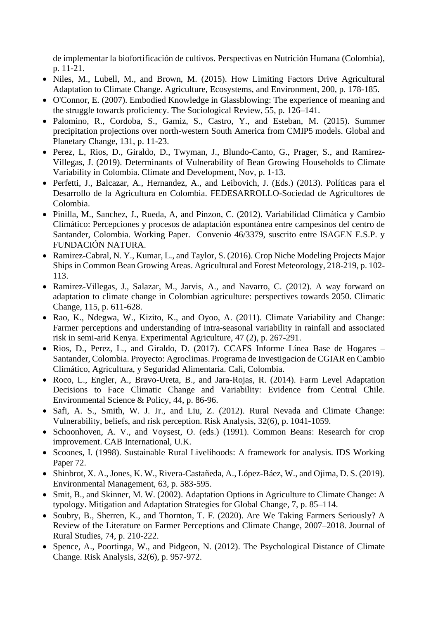de implementar la biofortificación de cultivos. Perspectivas en Nutrición Humana (Colombia), p. 11-21.

- Niles, M., Lubell, M., and Brown, M. (2015). How Limiting Factors Drive Agricultural Adaptation to Climate Change. Agriculture, Ecosystems, and Environment, 200, p. 178-185.
- O'Connor, E. (2007). Embodied Knowledge in Glassblowing: The experience of meaning and the struggle towards proficiency. The Sociological Review, 55, p. 126–141.
- Palomino, R., Cordoba, S., Gamiz, S., Castro, Y., and Esteban, M. (2015). Summer precipitation projections over north-western South America from CMIP5 models. Global and Planetary Change, 131, p. 11-23.
- Perez, L, Rios, D., Giraldo, D., Twyman, J., Blundo-Canto, G., Prager, S., and Ramirez-Villegas, J. (2019). Determinants of Vulnerability of Bean Growing Households to Climate Variability in Colombia. Climate and Development, Nov, p. 1-13.
- Perfetti, J., Balcazar, A., Hernandez, A., and Leibovich, J. (Eds.) (2013). Políticas para el Desarrollo de la Agricultura en Colombia. FEDESARROLLO-Sociedad de Agricultores de Colombia.
- Pinilla, M., Sanchez, J., Rueda, A, and Pinzon, C. (2012). Variabilidad Climática y Cambio Climático: Percepciones y procesos de adaptación espontánea entre campesinos del centro de Santander, Colombia. Working Paper. Convenio 46/3379, suscrito entre ISAGEN E.S.P. y FUNDACIÓN NATURA.
- Ramirez-Cabral, N. Y., Kumar, L., and Taylor, S. (2016). Crop Niche Modeling Projects Major Ships in Common Bean Growing Areas. Agricultural and Forest Meteorology, 218-219, p. 102- 113.
- Ramirez-Villegas, J., Salazar, M., Jarvis, A., and Navarro, C. (2012). A way forward on adaptation to climate change in Colombian agriculture: perspectives towards 2050. Climatic Change, 115, p. 611-628.
- Rao, K., Ndegwa, W., Kizito, K., and Oyoo, A. (2011). Climate Variability and Change: Farmer perceptions and understanding of intra-seasonal variability in rainfall and associated risk in semi-arid Kenya. Experimental Agriculture, 47 (2), p. 267-291.
- Rios, D., Perez, L., and Giraldo, D. (2017). CCAFS Informe Línea Base de Hogares Santander, Colombia. Proyecto: Agroclimas. Programa de Investigacion de CGIAR en Cambio Climático, Agricultura, y Seguridad Alimentaria. Cali, Colombia.
- Roco, L., Engler, A., Bravo-Ureta, B., and Jara-Rojas, R. (2014). Farm Level Adaptation Decisions to Face Climatic Change and Variability: Evidence from Central Chile. Environmental Science & Policy, 44, p. 86-96.
- Safi, A. S., Smith, W. J. Jr., and Liu, Z. (2012). Rural Nevada and Climate Change: Vulnerability, beliefs, and risk perception. Risk Analysis, 32(6), p. 1041-1059.
- Schoonhoven, A. V., and Voysest, O. (eds.) (1991). Common Beans: Research for crop improvement. CAB International, U.K.
- Scoones, I. (1998). Sustainable Rural Livelihoods: A framework for analysis. IDS Working Paper 72.
- Shinbrot, X. A., Jones, K. W., Rivera-Castañeda, A., López-Báez, W., and Ojima, D. S. (2019). Environmental Management, 63, p. 583-595.
- Smit, B., and Skinner, M. W. (2002). Adaptation Options in Agriculture to Climate Change: A typology. Mitigation and Adaptation Strategies for Global Change, 7, p. 85–114.
- Soubry, B., Sherren, K., and Thornton, T. F. (2020). Are We Taking Farmers Seriously? A Review of the Literature on Farmer Perceptions and Climate Change, 2007–2018. Journal of Rural Studies, 74, p. 210-222.
- Spence, A., Poortinga, W., and Pidgeon, N. (2012). The Psychological Distance of Climate Change. Risk Analysis, 32(6), p. 957-972.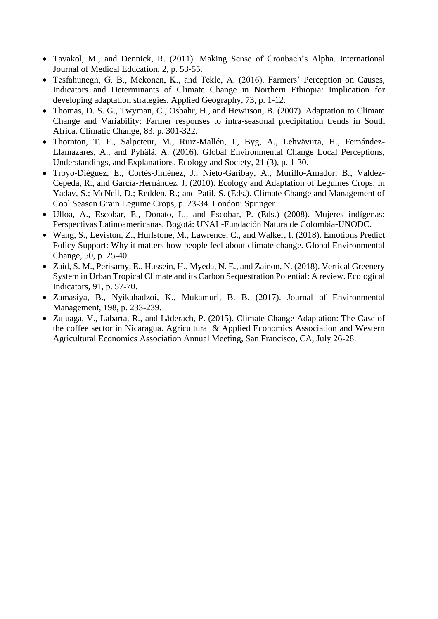- Tavakol, M., and Dennick, R. (2011). Making Sense of Cronbach's Alpha. International Journal of Medical Education, 2, p. 53-55.
- Tesfahunegn, G. B., Mekonen, K., and Tekle, A. (2016). Farmers' Perception on Causes, Indicators and Determinants of Climate Change in Northern Ethiopia: Implication for developing adaptation strategies. Applied Geography, 73, p. 1-12.
- Thomas, D. S. G., Twyman, C., Osbahr, H., and Hewitson, B. (2007). Adaptation to Climate Change and Variability: Farmer responses to intra-seasonal precipitation trends in South Africa. Climatic Change, 83, p. 301-322.
- Thornton, T. F., Salpeteur, M., Ruiz-Mallén, I., Byg, A., Lehvävirta, H., Fernández-Llamazares, A., and Pyhälä, A. (2016). Global Environmental Change Local Perceptions, Understandings, and Explanations. Ecology and Society, 21 (3), p. 1-30.
- Troyo-Diéguez, E., Cortés-Jiménez, J., Nieto-Garibay, A., Murillo-Amador, B., Valdéz-Cepeda, R., and García-Hernández, J. (2010). Ecology and Adaptation of Legumes Crops. In Yadav, S.; McNeil, D.; Redden, R.; and Patil, S. (Eds.). Climate Change and Management of Cool Season Grain Legume Crops, p. 23-34. London: Springer.
- Ulloa, A., Escobar, E., Donato, L., and Escobar, P. (Eds.) (2008). Mujeres indígenas: Perspectivas Latinoamericanas. Bogotá: UNAL-Fundación Natura de Colombia-UNODC.
- Wang, S., Leviston, Z., Hurlstone, M., Lawrence, C., and Walker, I. (2018). Emotions Predict Policy Support: Why it matters how people feel about climate change. Global Environmental Change, 50, p. 25-40.
- Zaid, S. M., Perisamy, E., Hussein, H., Myeda, N. E., and Zainon, N. (2018). Vertical Greenery System in Urban Tropical Climate and its Carbon Sequestration Potential: A review. Ecological Indicators, 91, p. 57-70.
- Zamasiya, B., Nyikahadzoi, K., Mukamuri, B. B. (2017). Journal of Environmental Management, 198, p. 233-239.
- Zuluaga, V., Labarta, R., and Läderach, P. (2015). Climate Change Adaptation: The Case of the coffee sector in Nicaragua. Agricultural & Applied Economics Association and Western Agricultural Economics Association Annual Meeting, San Francisco, CA, July 26-28.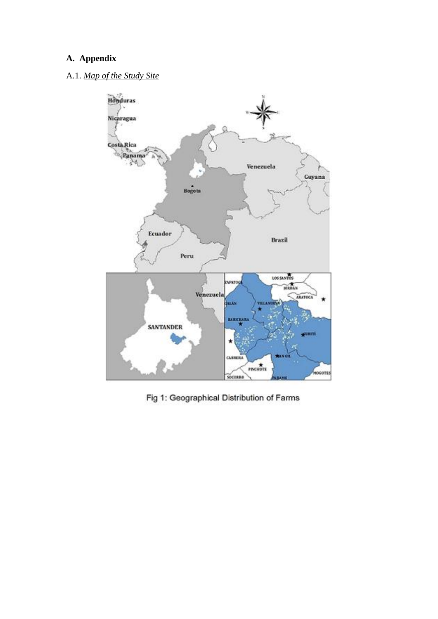# **A. Appendix**

# A.1. *Map of the Study Site*



Fig 1: Geographical Distribution of Farms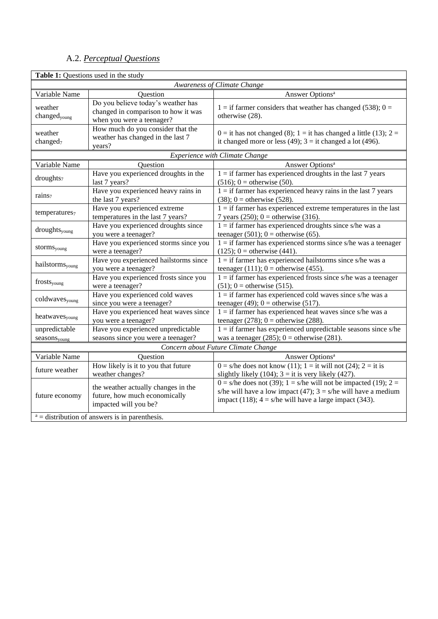# A.2. *Perceptual Questions*

|                                 | Table 1: Questions used in the study                                                                   |                                                                                                                                                                                                        |  |  |  |  |  |  |  |
|---------------------------------|--------------------------------------------------------------------------------------------------------|--------------------------------------------------------------------------------------------------------------------------------------------------------------------------------------------------------|--|--|--|--|--|--|--|
|                                 |                                                                                                        | Awareness of Climate Change                                                                                                                                                                            |  |  |  |  |  |  |  |
| Variable Name                   | Question                                                                                               | Answer Options <sup>a</sup>                                                                                                                                                                            |  |  |  |  |  |  |  |
| weather<br>changedyoung         | Do you believe today's weather has<br>changed in comparison to how it was<br>when you were a teenager? | $1 =$ if farmer considers that weather has changed (538); 0 =<br>otherwise (28).                                                                                                                       |  |  |  |  |  |  |  |
| weather<br>changed <sub>7</sub> | How much do you consider that the<br>weather has changed in the last 7<br>years?                       | $0 =$ it has not changed (8); 1 = it has changed a little (13); 2 =<br>it changed more or less (49); $3 =$ it changed a lot (496).                                                                     |  |  |  |  |  |  |  |
|                                 |                                                                                                        | Experience with Climate Change                                                                                                                                                                         |  |  |  |  |  |  |  |
| Variable Name                   | Question                                                                                               | Answer Options <sup>a</sup>                                                                                                                                                                            |  |  |  |  |  |  |  |
| droughts <sub>7</sub>           | Have you experienced droughts in the<br>last 7 years?                                                  | $1 =$ if farmer has experienced droughts in the last 7 years<br>$(516)$ ; 0 = otherwise (50).                                                                                                          |  |  |  |  |  |  |  |
| rains7                          | Have you experienced heavy rains in<br>the last 7 years?                                               | $1 =$ if farmer has experienced heavy rains in the last 7 years<br>$(38)$ ; 0 = otherwise $(528)$ .                                                                                                    |  |  |  |  |  |  |  |
| temperatures <sub>7</sub>       | Have you experienced extreme<br>temperatures in the last 7 years?                                      | $1 =$ if farmer has experienced extreme temperatures in the last<br>7 years (250); $0 =$ otherwise (316).                                                                                              |  |  |  |  |  |  |  |
| droughtsyoung                   | Have you experienced droughts since<br>you were a teenager?                                            | $1 =$ if farmer has experienced droughts since s/he was a<br>teenager (501); $0 =$ otherwise (65).                                                                                                     |  |  |  |  |  |  |  |
| stormsyoung                     | Have you experienced storms since you<br>were a teenager?                                              | $1 =$ if farmer has experienced storms since s/he was a teenager<br>$(125)$ ; 0 = otherwise $(441)$ .                                                                                                  |  |  |  |  |  |  |  |
| hailstormsyoung                 | Have you experienced hailstorms since<br>you were a teenager?                                          | $1 =$ if farmer has experienced hailstorms since s/he was a<br>teenager (111); $0 =$ otherwise (455).                                                                                                  |  |  |  |  |  |  |  |
| frostsyoung                     | Have you experienced frosts since you<br>were a teenager?                                              | $1 =$ if farmer has experienced frosts since s/he was a teenager<br>$(51)$ ; 0 = otherwise (515).                                                                                                      |  |  |  |  |  |  |  |
| coldwavesyoung                  | Have you experienced cold waves<br>since you were a teenager?                                          | $1 =$ if farmer has experienced cold waves since s/he was a<br>teenager (49); $0 =$ otherwise (517).                                                                                                   |  |  |  |  |  |  |  |
| heatwavesyoung                  | Have you experienced heat waves since<br>you were a teenager?                                          | $1 =$ if farmer has experienced heat waves since s/he was a<br>teenager (278); $0 =$ otherwise (288).                                                                                                  |  |  |  |  |  |  |  |
| unpredictable<br>seasonsyoung   | Have you experienced unpredictable<br>seasons since you were a teenager?                               | $1 =$ if farmer has experienced unpredictable seasons since s/he<br>was a teenager $(285)$ ; $0 =$ otherwise $(281)$ .                                                                                 |  |  |  |  |  |  |  |
|                                 |                                                                                                        | Concern about Future Climate Change                                                                                                                                                                    |  |  |  |  |  |  |  |
| Variable Name                   | Question                                                                                               | Answer Options <sup>a</sup>                                                                                                                                                                            |  |  |  |  |  |  |  |
| future weather                  | How likely is it to you that future<br>weather changes?                                                | $0 = s$ /he does not know (11); 1 = it will not (24); 2 = it is<br>slightly likely (104); $3 =$ it is very likely (427).                                                                               |  |  |  |  |  |  |  |
| future economy                  | the weather actually changes in the<br>future, how much economically<br>impacted will you be?          | $0 = s$ he does not (39); $1 = s$ he will not be impacted (19); $2 =$<br>s/he will have a low impact (47); $3 = s$ /he will have a medium<br>impact (118); $4 = s$ /he will have a large impact (343). |  |  |  |  |  |  |  |
|                                 | $a =$ distribution of answers is in parenthesis.                                                       |                                                                                                                                                                                                        |  |  |  |  |  |  |  |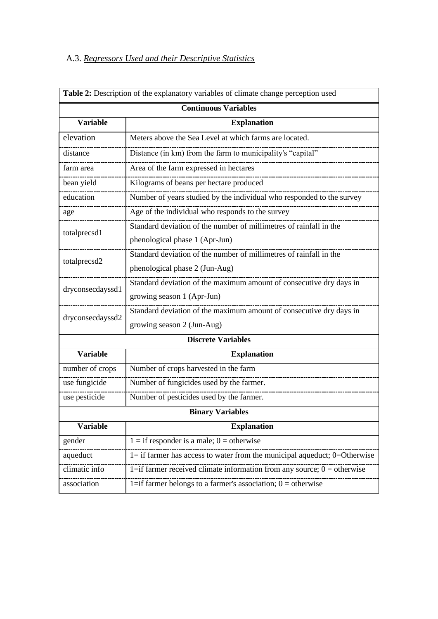# A.3. *Regressors Used and their Descriptive Statistics*

|                                                                                    | Table 2: Description of the explanatory variables of climate change perception used |  |  |  |  |  |  |  |  |
|------------------------------------------------------------------------------------|-------------------------------------------------------------------------------------|--|--|--|--|--|--|--|--|
| <b>Continuous Variables</b>                                                        |                                                                                     |  |  |  |  |  |  |  |  |
| <b>Variable</b>                                                                    | <b>Explanation</b>                                                                  |  |  |  |  |  |  |  |  |
| elevation                                                                          | Meters above the Sea Level at which farms are located.                              |  |  |  |  |  |  |  |  |
| distance                                                                           | Distance (in km) from the farm to municipality's "capital"                          |  |  |  |  |  |  |  |  |
| farm area                                                                          | Area of the farm expressed in hectares                                              |  |  |  |  |  |  |  |  |
| bean yield                                                                         | Kilograms of beans per hectare produced                                             |  |  |  |  |  |  |  |  |
| education<br>Number of years studied by the individual who responded to the survey |                                                                                     |  |  |  |  |  |  |  |  |
| age                                                                                | Age of the individual who responds to the survey                                    |  |  |  |  |  |  |  |  |
|                                                                                    | Standard deviation of the number of millimetres of rainfall in the                  |  |  |  |  |  |  |  |  |
| totalprecsd1                                                                       | phenological phase 1 (Apr-Jun)                                                      |  |  |  |  |  |  |  |  |
| totalprecsd2                                                                       | Standard deviation of the number of millimetres of rainfall in the                  |  |  |  |  |  |  |  |  |
|                                                                                    | phenological phase 2 (Jun-Aug)                                                      |  |  |  |  |  |  |  |  |
| dryconsecdayssd1                                                                   | Standard deviation of the maximum amount of consecutive dry days in                 |  |  |  |  |  |  |  |  |
|                                                                                    | growing season 1 (Apr-Jun)                                                          |  |  |  |  |  |  |  |  |
| dryconsecdayssd2                                                                   | Standard deviation of the maximum amount of consecutive dry days in                 |  |  |  |  |  |  |  |  |
|                                                                                    | growing season 2 (Jun-Aug)                                                          |  |  |  |  |  |  |  |  |
|                                                                                    | <b>Discrete Variables</b>                                                           |  |  |  |  |  |  |  |  |
| <b>Variable</b>                                                                    | <b>Explanation</b>                                                                  |  |  |  |  |  |  |  |  |
| number of crops                                                                    | Number of crops harvested in the farm                                               |  |  |  |  |  |  |  |  |
| use fungicide                                                                      | Number of fungicides used by the farmer.                                            |  |  |  |  |  |  |  |  |
| use pesticide                                                                      | Number of pesticides used by the farmer.                                            |  |  |  |  |  |  |  |  |
|                                                                                    | <b>Binary Variables</b>                                                             |  |  |  |  |  |  |  |  |
| <b>Variable</b>                                                                    | <b>Explanation</b>                                                                  |  |  |  |  |  |  |  |  |
| gender                                                                             | $1 =$ if responder is a male; $0 =$ otherwise                                       |  |  |  |  |  |  |  |  |
| aqueduct                                                                           | $l =$ if farmer has access to water from the municipal aqueduct; 0=Otherwise        |  |  |  |  |  |  |  |  |
| climatic info                                                                      | 1=if farmer received climate information from any source; $0 =$ otherwise           |  |  |  |  |  |  |  |  |
| association                                                                        | 1=if farmer belongs to a farmer's association; $0 =$ otherwise                      |  |  |  |  |  |  |  |  |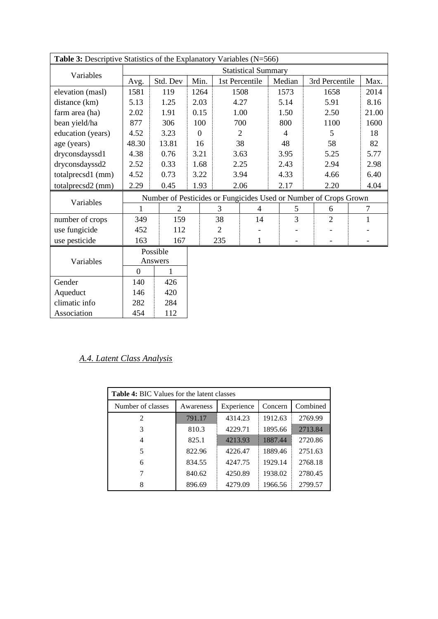| Table 3: Descriptive Statistics of the Explanatory Variables (N=566) |                            |                |                |                                                                  |                |        |      |                |       |  |  |  |  |
|----------------------------------------------------------------------|----------------------------|----------------|----------------|------------------------------------------------------------------|----------------|--------|------|----------------|-------|--|--|--|--|
| Variables                                                            | <b>Statistical Summary</b> |                |                |                                                                  |                |        |      |                |       |  |  |  |  |
|                                                                      | Avg.                       | Std. Dev       | Min.           |                                                                  | 1st Percentile | Median |      | 3rd Percentile | Max.  |  |  |  |  |
| elevation (masl)                                                     | 1581                       | 119            | 1264           |                                                                  | 1508           | 1573   |      | 1658           | 2014  |  |  |  |  |
| distance (km)                                                        | 5.13                       | 1.25           | 2.03           |                                                                  | 4.27           | 5.14   |      | 5.91           | 8.16  |  |  |  |  |
| farm area (ha)                                                       | 2.02                       | 1.91           | 0.15           |                                                                  | 1.00           | 1.50   |      | 2.50           | 21.00 |  |  |  |  |
| bean yield/ha                                                        | 877                        | 306            | 100            |                                                                  | 700            |        | 800  | 1100           | 1600  |  |  |  |  |
| education (years)                                                    | 4.52                       | 3.23           | $\overline{0}$ |                                                                  | $\overline{2}$ |        |      | 5              | 18    |  |  |  |  |
| age (years)                                                          | 48.30                      | 13.81          | 16             |                                                                  | 38             | 48     |      | 58             | 82    |  |  |  |  |
| dryconsdayssd1                                                       | 4.38                       | 0.76           | 3.21           |                                                                  | 3.63           |        | 3.95 | 5.25           | 5.77  |  |  |  |  |
| dryconsdayssd2                                                       | 2.52                       | 0.33           | 1.68           | 2.25                                                             |                | 2.43   |      | 2.94           | 2.98  |  |  |  |  |
| totalprecsd1 (mm)                                                    | 4.52                       | 0.73           |                | 3.94                                                             |                | 4.33   |      | 4.66           | 6.40  |  |  |  |  |
| totalprecsd2 (mm)                                                    | 2.29                       | 0.45           | 1.93           | 2.06                                                             |                | 2.17   |      | 2.20           | 4.04  |  |  |  |  |
| Variables                                                            |                            |                |                | Number of Pesticides or Fungicides Used or Number of Crops Grown |                |        |      |                |       |  |  |  |  |
|                                                                      | $\mathbf{1}$               | $\overline{2}$ |                | 3                                                                | $\overline{4}$ | 5      |      | 6              |       |  |  |  |  |
| number of crops                                                      | 349                        | 159            |                | 38                                                               | 14             |        | 3    | $\overline{2}$ | 1     |  |  |  |  |
| use fungicide                                                        | 452                        | 112            |                | $\overline{2}$                                                   |                |        |      |                |       |  |  |  |  |
| use pesticide                                                        | 163                        | 167            |                | 235                                                              | 1              |        |      |                |       |  |  |  |  |
|                                                                      |                            | Possible       |                |                                                                  |                |        |      |                |       |  |  |  |  |
| Variables                                                            | Answers                    |                |                |                                                                  |                |        |      |                |       |  |  |  |  |
|                                                                      | $\overline{0}$             | 1              |                |                                                                  |                |        |      |                |       |  |  |  |  |
| Gender                                                               | 140                        | 426            |                |                                                                  |                |        |      |                |       |  |  |  |  |
| Aqueduct                                                             | 146                        | 420            |                |                                                                  |                |        |      |                |       |  |  |  |  |
| climatic info                                                        | 282                        | 284            |                |                                                                  |                |        |      |                |       |  |  |  |  |
| Association                                                          | 454                        | 112            |                |                                                                  |                |        |      |                |       |  |  |  |  |

# *A.4. Latent Class Analysis*

| <b>Table 4: BIC Values for the latent classes</b>                   |        |         |         |         |  |  |  |  |  |  |  |
|---------------------------------------------------------------------|--------|---------|---------|---------|--|--|--|--|--|--|--|
| Number of classes<br>Combined<br>Experience<br>Concern<br>Awareness |        |         |         |         |  |  |  |  |  |  |  |
| $\mathcal{L}$                                                       | 791.17 | 4314.23 | 1912.63 | 2769.99 |  |  |  |  |  |  |  |
| 3                                                                   | 810.3  | 4229.71 | 1895.66 | 2713.84 |  |  |  |  |  |  |  |
| 4                                                                   | 825.1  | 4213.93 | 1887.44 | 2720.86 |  |  |  |  |  |  |  |
| 5                                                                   | 822.96 | 4226.47 | 1889.46 | 2751.63 |  |  |  |  |  |  |  |
| 6                                                                   | 834.55 | 4247.75 | 1929.14 | 2768.18 |  |  |  |  |  |  |  |
|                                                                     | 840.62 | 4250.89 | 1938.02 | 2780.45 |  |  |  |  |  |  |  |
| 8                                                                   | 896.69 | 4279.09 | 1966.56 | 2799.57 |  |  |  |  |  |  |  |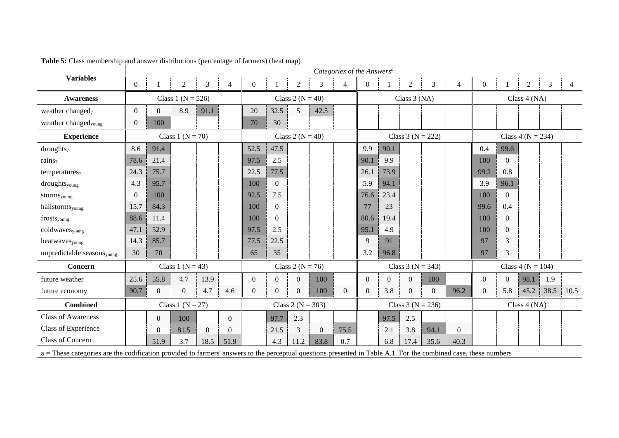| <b>Table 5:</b> Class membership and answer distributions (percentage of farmers) (heat map)                                                                    |                       |                  |                      |              |                      |                      |                |                       |          |                                        |                       |                |                       |                |                       |                       |                  |                |                |      |
|-----------------------------------------------------------------------------------------------------------------------------------------------------------------|-----------------------|------------------|----------------------|--------------|----------------------|----------------------|----------------|-----------------------|----------|----------------------------------------|-----------------------|----------------|-----------------------|----------------|-----------------------|-----------------------|------------------|----------------|----------------|------|
|                                                                                                                                                                 |                       |                  |                      |              |                      |                      |                |                       |          | Categories of the Answers <sup>a</sup> |                       |                |                       |                |                       |                       |                  |                |                |      |
| <b>Variables</b>                                                                                                                                                | $\mathbf{0}$          |                  | $\overline{2}$       | 3            | $\overline{4}$       | $\boldsymbol{0}$     |                | 2                     | 3        | $\overline{4}$                         | $\mathbf{0}$          |                | $\mathfrak{2}$        | 3              | $\overline{4}$        | $\mathbf{0}$          |                  | $\overline{2}$ | $\mathfrak{Z}$ | 4    |
| <b>Awareness</b>                                                                                                                                                | Class 1 ( $N = 526$ ) |                  |                      |              |                      | Class 2 ( $N = 40$ ) |                |                       |          |                                        | Class $3$ (NA)        |                |                       |                |                       | Class $4$ (NA)        |                  |                |                |      |
| weather changed <sub>7</sub>                                                                                                                                    | $\Omega$              | $\boldsymbol{0}$ | 8.9                  | 91.1         |                      | 20                   | 32.5           | 5                     | 42.5     |                                        |                       |                |                       |                |                       |                       |                  |                |                |      |
| weather changed <sub>young</sub>                                                                                                                                | $\theta$              | 100              |                      |              |                      | 70                   | 30             |                       |          |                                        |                       |                |                       |                |                       |                       |                  |                |                |      |
| <b>Experience</b>                                                                                                                                               | Class 1 ( $N = 70$ )  |                  |                      |              | Class 2 ( $N = 40$ ) |                      |                |                       |          | Class $3 (N = 222)$                    |                       |                |                       |                | Class 4 ( $N = 234$ ) |                       |                  |                |                |      |
| droughts <sub>7</sub>                                                                                                                                           | 8.6                   | 91.4             |                      |              |                      | 52.5                 | 47.5           |                       |          |                                        | 9.9                   | 90.1           |                       |                |                       | 0.4                   | 99.6             |                |                |      |
| rains <sub>7</sub>                                                                                                                                              | 78.6                  | 21.4             |                      |              |                      | 97.5                 | 2.5            |                       |          |                                        | 90.1                  | 9.9            |                       |                |                       | 100                   | $\overline{0}$   |                |                |      |
| temperatures <sub>7</sub>                                                                                                                                       | 24.3                  | 75.7             |                      |              |                      | 22.5                 | 77.5           |                       |          |                                        | 26.1                  | 73.9           |                       |                |                       | 99.2                  | 0.8              |                |                |      |
| droughts <sub>young</sub>                                                                                                                                       | 4.3                   | 95.7             |                      |              |                      | 100                  | $\overline{0}$ |                       |          |                                        | 5.9                   | 94.1           |                       |                |                       | 3.9                   | 96.1             |                |                |      |
| stormsyoung                                                                                                                                                     | $\Omega$              | 100              |                      |              |                      | 92.5                 | 7.5            |                       |          |                                        | 76.6                  | 23.4           |                       |                |                       | 100                   | $\Omega$         |                |                |      |
| hailstorms <sub>young</sub>                                                                                                                                     | 15.7                  | 84.3             |                      |              |                      | 100                  | $\Omega$       |                       |          |                                        | 77                    | 23             |                       |                |                       | 99.6                  | 0.4              |                |                |      |
| frostsyoung                                                                                                                                                     | 88.6                  | 11.4             |                      |              |                      | 100                  | $\theta$       |                       |          |                                        | 80.6                  | 19.4           |                       |                |                       | 100                   | $\boldsymbol{0}$ |                |                |      |
| coldwavesyoung                                                                                                                                                  | 47.1                  | 52.9             |                      |              |                      | 97.5                 | 2.5            |                       |          |                                        | 95.1                  | 4.9            |                       |                |                       | 100                   | $\overline{0}$   |                |                |      |
| heatwaves <sub>young</sub>                                                                                                                                      | 14.3                  | 85.7             |                      |              |                      | 77.5                 | 22.5           |                       |          |                                        | 9                     | 91             |                       |                |                       | 97                    | 3                |                |                |      |
| unpredictable seasons <sub>young</sub>                                                                                                                          | 30                    | 70               |                      |              |                      | 65                   | 35             |                       |          |                                        | 3.2                   | 96.8           |                       |                |                       | 97                    | 3                |                |                |      |
| Concern                                                                                                                                                         |                       |                  | Class 1 ( $N = 43$ ) |              |                      |                      |                | Class 2 ( $N = 76$ )  |          |                                        | Class 3 ( $N = 343$ ) |                |                       |                |                       | Class 4 ( $N = 104$ ) |                  |                |                |      |
| future weather                                                                                                                                                  | 25.6                  | 55.8             | 4.7                  | 13.9         |                      | $\overline{0}$       | $\overline{0}$ | $\Omega$              | 100      |                                        | $\mathbf{0}$          | $\overline{0}$ | $\overline{0}$        | 100            |                       | $\overline{0}$        | $\overline{0}$   | 98.1           | 1.9            |      |
| future economy                                                                                                                                                  | 90.7                  | $\overline{0}$   | $\overline{0}$       | 4.7          | 4.6                  | $\overline{0}$       | $\overline{0}$ | $\Omega$              | 100      | $\mathbf{0}$                           | $\overline{0}$        | 3.8            | $\overline{0}$        | $\overline{0}$ | 96.2                  | $\overline{0}$        | 5.8              | 45.2           | 38.5<br>÷.     | 10.5 |
| <b>Combined</b>                                                                                                                                                 |                       |                  | Class 1 ( $N = 27$ ) |              |                      |                      |                | Class 2 ( $N = 303$ ) |          |                                        |                       |                | Class 3 ( $N = 236$ ) |                |                       |                       |                  | Class $4$ (NA) |                |      |
| <b>Class of Awareness</b>                                                                                                                                       |                       | $\overline{0}$   | 100                  |              | $\overline{0}$       |                      | 97.7           | 2.3                   |          |                                        |                       | 97.5           | 2.5                   |                |                       |                       |                  |                |                |      |
| Class of Experience                                                                                                                                             |                       | $\Omega$         | 81.5                 | $\mathbf{0}$ | $\Omega$             |                      | 21.5           | 3                     | $\Omega$ | 75.5                                   |                       | 2.1            | 3.8                   | 94.1           | $\Omega$              |                       |                  |                |                |      |
| Class of Concern                                                                                                                                                |                       | 51.9             | 3.7                  | 18.5         | 51.9                 |                      | 4.3            | 11.2                  | 83.8     | 0.7                                    |                       | 6.8            | 17.4                  | 35.6           | 40.3                  |                       |                  |                |                |      |
| a = These categories are the codification provided to farmers' answers to the perceptual questions presented in Table A.1. For the combined case, these numbers |                       |                  |                      |              |                      |                      |                |                       |          |                                        |                       |                |                       |                |                       |                       |                  |                |                |      |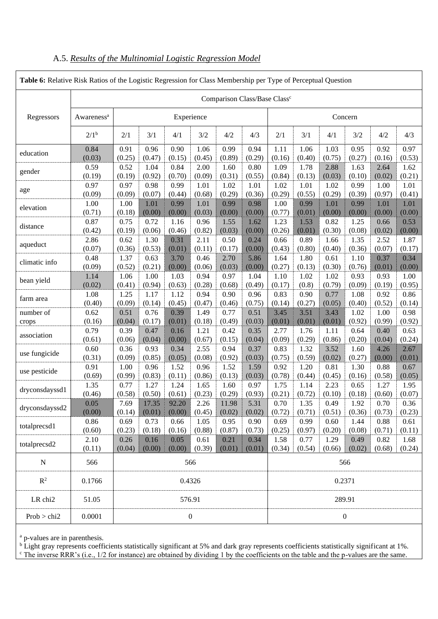| Table 6: Relative Risk Ratios of the Logistic Regression for Class Membership per Type of Perceptual Question |                        |        |        |        |                  |        |                                          |        |        |        |        |        |        |  |  |
|---------------------------------------------------------------------------------------------------------------|------------------------|--------|--------|--------|------------------|--------|------------------------------------------|--------|--------|--------|--------|--------|--------|--|--|
|                                                                                                               |                        |        |        |        |                  |        | Comparison Class/Base Class <sup>c</sup> |        |        |        |        |        |        |  |  |
| Regressors                                                                                                    | Awareness <sup>a</sup> |        |        |        | Experience       |        | Concern                                  |        |        |        |        |        |        |  |  |
|                                                                                                               | 2/1 <sup>b</sup>       | 2/1    | 3/1    | 4/1    | 3/2              | 4/2    | 4/3                                      | 2/1    | 3/1    | 4/1    | 3/2    | 4/2    | 4/3    |  |  |
| education                                                                                                     | 0.84                   | 0.91   | 0.96   | 0.90   | 1.06             | 0.99   | 0.94                                     | 1.11   | 1.06   | 1.03   | 0.95   | 0.92   | 0.97   |  |  |
|                                                                                                               | (0.03)                 | (0.25) | (0.47) | (0.15) | (0.45)           | (0.89) | (0.29)                                   | (0.16) | (0.40) | (0.75) | (0.27) | (0.16) | (0.53) |  |  |
| gender                                                                                                        | 0.59                   | 0.52   | 1.04   | 0.84   | 2.00             | 1.60   | 0.80                                     | 1.09   | 1.78   | 2.88   | 1.63   | 2.64   | 1.62   |  |  |
|                                                                                                               | (0.19)                 | (0.19) | (0.92) | (0.70) | (0.09)           | (0.31) | (0.55)                                   | (0.84) | (0.13) | (0.03) | (0.10) | (0.02) | (0.21) |  |  |
| age                                                                                                           | 0.97                   | 0.97   | 0.98   | 0.99   | 1.01             | 1.02   | 1.01                                     | 1.02   | 1.01   | 1.02   | 0.99   | 1.00   | 1.01   |  |  |
|                                                                                                               | (0.09)                 | (0.09) | (0.07) | (0.44) | (0.68)           | (0.29) | (0.36)                                   | (0.29) | (0.55) | (0.29) | (0.39) | (0.97) | (0.41) |  |  |
| elevation                                                                                                     | 1.00                   | 1.00   | 1.01   | 0.99   | 1.01             | 0.99   | 0.98                                     | 1.00   | 0.99   | 1.01   | 0.99   | 1.01   | 1.01   |  |  |
|                                                                                                               | (0.71)                 | (0.18) | (0.00) | (0.00) | (0.03)           | (0.00) | (0.00)                                   | (0.77) | (0.01) | (0.00) | (0.00) | (0.00) | (0.00) |  |  |
| distance                                                                                                      | 0.87                   | 0.75   | 0.72   | 1.16   | 0.96             | 1.55   | 1.62                                     | 1.23   | 1.53   | 0.82   | 1.25   | 0.66   | 0.53   |  |  |
|                                                                                                               | (0.42)                 | (0.19) | (0.06) | (0.46) | (0.82)           | (0.03) | (0.00)                                   | (0.26) | (0.01) | (0.30) | (0.08) | (0.02) | (0.00) |  |  |
| aqueduct                                                                                                      | 2.86                   | 0.62   | 1.30   | 0.31   | 2.11             | 0.50   | 0.24                                     | 0.66   | 0.89   | 1.66   | 1.35   | 2.52   | 1.87   |  |  |
|                                                                                                               | (0.07)                 | (0.36) | (0.53) | (0.01) | (0.11)           | (0.17) | (0.00)                                   | (0.43) | (0.80) | (0.40) | (0.36) | (0.07) | (0.17) |  |  |
| climatic info                                                                                                 | 0.48                   | 1.37   | 0.63   | 3.70   | 0.46             | 2.70   | 5.86                                     | 1.64   | 1.80   | 0.61   | 1.10   | 0.37   | 0.34   |  |  |
|                                                                                                               | (0.09)                 | (0.52) | (0.21) | (0.00) | (0.06)           | (0.03) | (0.00)                                   | (0.27) | (0.13) | (0.30) | (0.76) | (0.01) | (0.00) |  |  |
| bean yield                                                                                                    | 1.14                   | 1.06   | 1.00   | 1.03   | 0.94             | 0.97   | 1.04                                     | 1.10   | 1.02   | 1.02   | 0.93   | 0.93   | 1.00   |  |  |
|                                                                                                               | (0.02)                 | (0.41) | (0.94) | (0.63) | (0.28)           | (0.68) | (0.49)                                   | (0.17) | (0.8)  | (0.79) | (0.09) | (0.19) | (0.95) |  |  |
| farm area                                                                                                     | 1.08                   | 1.25   | 1.17   | 1.12   | 0.94             | 0.90   | 0.96                                     | 0.83   | 0.90   | 0.77   | 1.08   | 0.92   | 0.86   |  |  |
|                                                                                                               | (0.40)                 | (0.09) | (0.14) | (0.45) | (0.47)           | (0.46) | (0.75)                                   | (0.14) | (0.27) | (0.05) | (0.40) | (0.52) | (0.14) |  |  |
| number of                                                                                                     | 0.62                   | 0.51   | 0.76   | 0.39   | 1.49             | 0.77   | 0.51                                     | 3.45   | 3.51   | 3.43   | 1.02   | 1.00   | 0.98   |  |  |
| crops                                                                                                         | (0.16)                 | (0.04) | (0.17) | (0.01) | (0.18)           | (0.49) | (0.03)                                   | (0.01) | (0.01) | (0.01) | (0.92) | (0.99) | (0.92) |  |  |
| association                                                                                                   | 0.79                   | 0.39   | 0.47   | 0.16   | 1.21             | 0.42   | 0.35                                     | 2.77   | 1.76   | 1.11   | 0.64   | 0.40   | 0.63   |  |  |
|                                                                                                               | (0.61)                 | (0.06) | (0.04) | (0.00) | (0.67)           | (0.15) | (0.04)                                   | (0.09) | (0.29) | (0.86) | (0.20) | (0.04) | (0.24) |  |  |
| use fungicide                                                                                                 | 0.60                   | 0.36   | 0.93   | 0.34   | 2.55             | 0.94   | 0.37                                     | 0.83   | 1.32   | 3.52   | 1.60   | 4.26   | 2.67   |  |  |
|                                                                                                               | (0.31)                 | (0.09) | (0.85) | (0.05) | (0.08)           | (0.92) | (0.03)                                   | (0.75) | (0.59) | (0.02) | (0.27) | (0.00) | (0.01) |  |  |
| use pesticide                                                                                                 | 0.91                   | 1.00   | 0.96   | 1.52   | 0.96             | 1.52   | 1.59                                     | 0.92   | 1.20   | 0.81   | 1.30   | 0.88   | 0.67   |  |  |
|                                                                                                               | (0.69)                 | (0.99) | (0.83) | (0.11) | (0.86)           | (0.13) | (0.03)                                   | (0.78) | (0.44) | (0.45) | (0.16) | (0.58) | (0.05) |  |  |
| dryconsdayssd1                                                                                                | 1.35                   | 0.77   | 1.27   | 1.24   | 1.65             | 1.60   | 0.97                                     | 1.75   | 1.14   | 2.23   | 0.65   | 1.27   | 1.95   |  |  |
|                                                                                                               | (0.46)                 | (0.58) | (0.50) | (0.61) | (0.23)           | (0.29) | (0.93)                                   | (0.21) | (0.72) | (0.10) | (0.18) | (0.60) | (0.07) |  |  |
| dryconsdayssd2                                                                                                | 0.05                   | 7.69   | 17.35  | 92.20  | 2.26             | 11.98  | 5.31                                     | 0.70   | 1.35   | 0.49   | 1.92   | 0.70   | 0.36   |  |  |
|                                                                                                               | (0.00)                 | (0.14) | (0.01) | (0.00) | (0.45)           | (0.02) | (0.02)                                   | (0.72) | (0.71) | (0.51) | (0.36) | (0.73) | (0.23) |  |  |
| totalprecsd1                                                                                                  | 0.86                   | 0.69   | 0.73   | 0.66   | 1.05             | 0.95   | 0.90                                     | 0.69   | 0.99   | 0.60   | 1.44   | 0.88   | 0.61   |  |  |
|                                                                                                               | (0.60)                 | (0.23) | (0.18) | (0.16) | (0.88)           | (0.87) | (0.73)                                   | (0.25) | (0.97) | (0.20) | (0.08) | (0.71) | (0.11) |  |  |
| totalprecsd2                                                                                                  | 2.10                   | 0.26   | 0.16   | 0.05   | 0.61             | 0.21   | 0.34                                     | 1.58   | 0.77   | 1.29   | 0.49   | 0.82   | 1.68   |  |  |
|                                                                                                               | (0.11)                 | (0.04) | (0.00) | (0.00) | (0.39)           | (0.01) | (0.01)                                   | (0.34) | (0.54) | (0.66) | (0.02) | (0.68) | (0.24) |  |  |
| ${\bf N}$                                                                                                     | 566                    |        |        |        | 566              |        |                                          |        |        |        | 566    |        |        |  |  |
| $\mathbb{R}^2$                                                                                                | 0.1766                 |        |        |        | 0.4326           |        |                                          | 0.2371 |        |        |        |        |        |  |  |
| LR chi2                                                                                                       | 51.05                  |        |        |        | 576.91           |        |                                          |        |        |        | 289.91 |        |        |  |  |
| Prob > chi2                                                                                                   | 0.0001                 |        |        |        | $\boldsymbol{0}$ |        | $\boldsymbol{0}$                         |        |        |        |        |        |        |  |  |

# A.5. *Results of the Multinomial Logistic Regression Model*

<sup>a</sup> p-values are in parenthesis.

<sup>b</sup> Light gray represents coefficients statistically significant at 5% and dark gray represents coefficients statistically significant at 1%.

<sup>c</sup> The inverse RRR's (i.e., 1/2 for instance) are obtained by dividing 1 by the coefficients on the table and the p-values are the same.